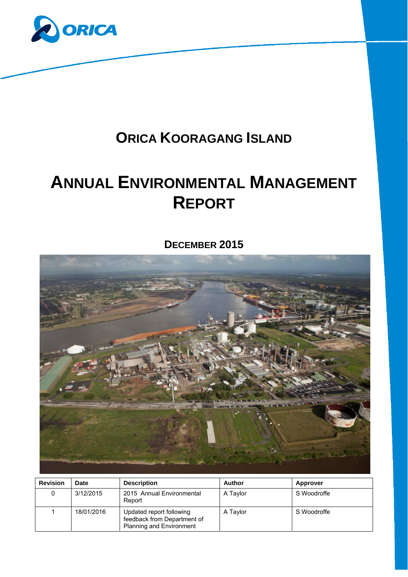

## **ORICA KOORAGANG ISLAND**

# **ANNUAL ENVIRONMENTAL MANAGEMENT REPORT**

## **DECEMBER 2015**



| <b>Revision</b> | <b>Date</b> | <b>Description</b>                                                                         | <b>Author</b> | <b>Approver</b> |
|-----------------|-------------|--------------------------------------------------------------------------------------------|---------------|-----------------|
|                 | 3/12/2015   | 2015 Annual Environmental<br>Report                                                        | A Taylor      | S Woodroffe     |
|                 | 18/01/2016  | Updated report following<br>feedback from Department of<br><b>Planning and Environment</b> | A Taylor      | S Woodroffe     |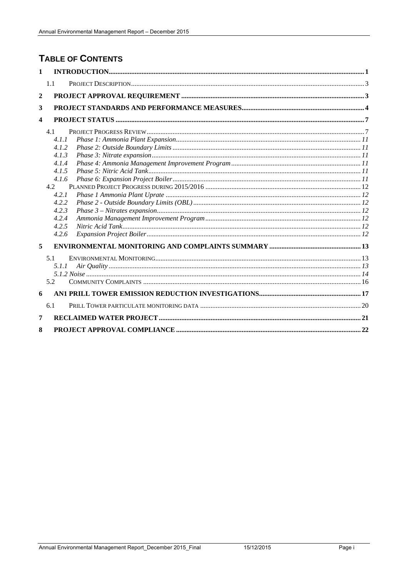## **TABLE OF CONTENTS**

| $\mathbf{1}$            |                                                                                                               |  |
|-------------------------|---------------------------------------------------------------------------------------------------------------|--|
|                         | 1.1                                                                                                           |  |
| $\mathbf{2}$            |                                                                                                               |  |
| 3                       |                                                                                                               |  |
| $\overline{\mathbf{4}}$ |                                                                                                               |  |
|                         | 4.1<br>4.1.1<br>4.1.2<br>4.1.3<br>4.1.4<br>4.1.5<br>4.1.6<br>4.2<br>4.2.1<br>4.2.2<br>4.2.3<br>4.2.4<br>4.2.5 |  |
|                         | 4.2.6                                                                                                         |  |
| 5                       |                                                                                                               |  |
|                         | 5.1<br>5.1.1<br>5.2                                                                                           |  |
| 6                       |                                                                                                               |  |
|                         | 6.1                                                                                                           |  |
|                         |                                                                                                               |  |
| 7                       |                                                                                                               |  |
| 8                       |                                                                                                               |  |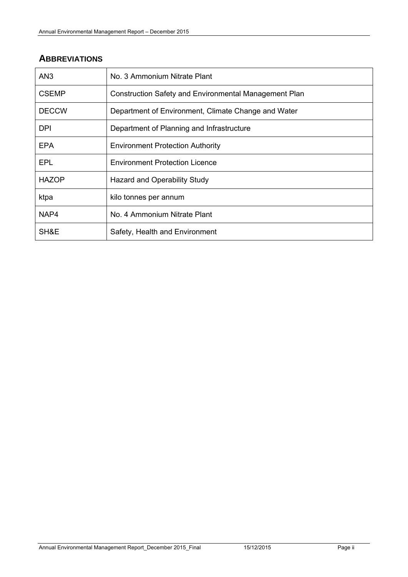## **ABBREVIATIONS**

| AN <sub>3</sub> | No. 3 Ammonium Nitrate Plant                                 |
|-----------------|--------------------------------------------------------------|
| <b>CSEMP</b>    | <b>Construction Safety and Environmental Management Plan</b> |
| <b>DECCW</b>    | Department of Environment, Climate Change and Water          |
| DPI.            | Department of Planning and Infrastructure                    |
| EPA             | <b>Environment Protection Authority</b>                      |
| EPL             | <b>Environment Protection Licence</b>                        |
| <b>HAZOP</b>    | Hazard and Operability Study                                 |
| ktpa            | kilo tonnes per annum                                        |
| NAP4            | No. 4 Ammonium Nitrate Plant                                 |
| SH&E            | Safety, Health and Environment                               |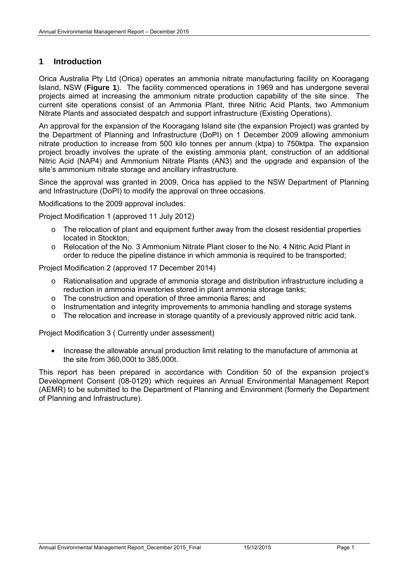#### **1 Introduction**

Orica Australia Pty Ltd (Orica) operates an ammonia nitrate manufacturing facility on Kooragang Island, NSW (**Figure 1**). The facility commenced operations in 1969 and has undergone several projects aimed at increasing the ammonium nitrate production capability of the site since. The current site operations consist of an Ammonia Plant, three Nitric Acid Plants, two Ammonium Nitrate Plants and associated despatch and support infrastructure (Existing Operations).

An approval for the expansion of the Kooragang Island site (the expansion Project) was granted by the Department of Planning and Infrastructure (DoPI) on 1 December 2009 allowing ammonium nitrate production to increase from 500 kilo tonnes per annum (ktpa) to 750ktpa. The expansion project broadly involves the uprate of the existing ammonia plant, construction of an additional Nitric Acid (NAP4) and Ammonium Nitrate Plants (AN3) and the upgrade and expansion of the site's ammonium nitrate storage and ancillary infrastructure.

Since the approval was granted in 2009, Orica has applied to the NSW Department of Planning and Infrastructure (DoPI) to modify the approval on three occasions.

Modifications to the 2009 approval includes:

Project Modification 1 (approved 11 July 2012)

- $\circ$  The relocation of plant and equipment further away from the closest residential properties located in Stockton;
- o Relocation of the No. 3 Ammonium Nitrate Plant closer to the No. 4 Nitric Acid Plant in order to reduce the pipeline distance in which ammonia is required to be transported;

Project Modification 2 (approved 17 December 2014)

- o Rationalisation and upgrade of ammonia storage and distribution infrastructure including a reduction in ammonia inventories stored in plant ammonia storage tanks;
- o The construction and operation of three ammonia flares; and
- o Instrumentation and integrity improvements to ammonia handling and storage systems
- o The relocation and increase in storage quantity of a previously approved nitric acid tank.

Project Modification 3 ( Currently under assessment)

• Increase the allowable annual production limit relating to the manufacture of ammonia at the site from 360,000t to 385,000t.

This report has been prepared in accordance with Condition 50 of the expansion project's Development Consent (08-0129) which requires an Annual Environmental Management Report (AEMR) to be submitted to the Department of Planning and Environment (formerly the Department of Planning and Infrastructure).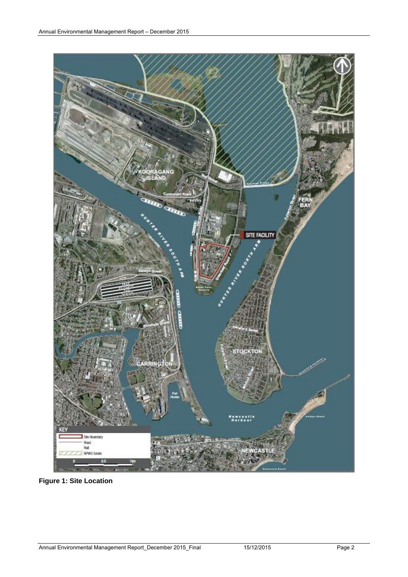

**Figure 1: Site Location**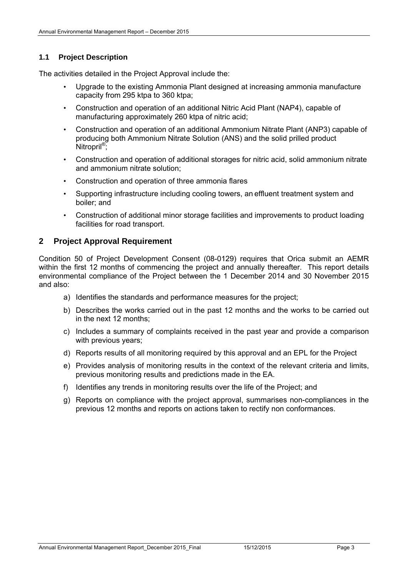#### **1.1 Project Description**

The activities detailed in the Project Approval include the:

- Upgrade to the existing Ammonia Plant designed at increasing ammonia manufacture capacity from 295 ktpa to 360 ktpa;
- Construction and operation of an additional Nitric Acid Plant (NAP4), capable of manufacturing approximately 260 ktpa of nitric acid;
- Construction and operation of an additional Ammonium Nitrate Plant (ANP3) capable of producing both Ammonium Nitrate Solution (ANS) and the solid prilled product Nitropril<sup>®</sup>;
- Construction and operation of additional storages for nitric acid, solid ammonium nitrate and ammonium nitrate solution;
- Construction and operation of three ammonia flares
- Supporting infrastructure including cooling towers, an effluent treatment system and boiler; and
- Construction of additional minor storage facilities and improvements to product loading facilities for road transport.

#### **2 Project Approval Requirement**

Condition 50 of Project Development Consent (08-0129) requires that Orica submit an AEMR within the first 12 months of commencing the project and annually thereafter. This report details environmental compliance of the Project between the 1 December 2014 and 30 November 2015 and also:

- a) Identifies the standards and performance measures for the project;
- b) Describes the works carried out in the past 12 months and the works to be carried out in the next 12 months;
- c) Includes a summary of complaints received in the past year and provide a comparison with previous years;
- d) Reports results of all monitoring required by this approval and an EPL for the Project
- e) Provides analysis of monitoring results in the context of the relevant criteria and limits, previous monitoring results and predictions made in the EA.
- f) Identifies any trends in monitoring results over the life of the Project; and
- g) Reports on compliance with the project approval, summarises non-compliances in the previous 12 months and reports on actions taken to rectify non conformances.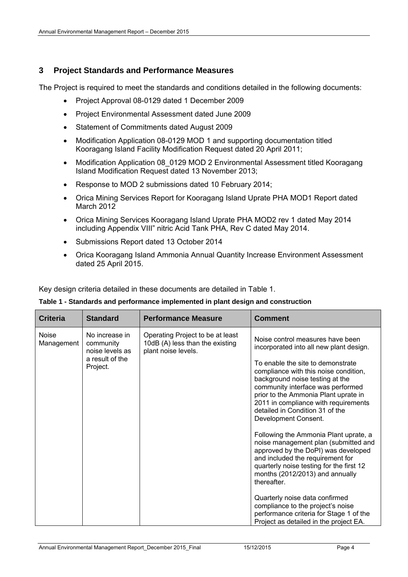#### **3 Project Standards and Performance Measures**

The Project is required to meet the standards and conditions detailed in the following documents:

- Project Approval 08-0129 dated 1 December 2009
- Project Environmental Assessment dated June 2009
- Statement of Commitments dated August 2009
- Modification Application 08-0129 MOD 1 and supporting documentation titled Kooragang Island Facility Modification Request dated 20 April 2011;
- Modification Application 08\_0129 MOD 2 Environmental Assessment titled Kooragang Island Modification Request dated 13 November 2013;
- Response to MOD 2 submissions dated 10 February 2014;
- Orica Mining Services Report for Kooragang Island Uprate PHA MOD1 Report dated March 2012
- Orica Mining Services Kooragang Island Uprate PHA MOD2 rev 1 dated May 2014 including Appendix VIII" nitric Acid Tank PHA, Rev C dated May 2014.
- Submissions Report dated 13 October 2014
- Orica Kooragang Island Ammonia Annual Quantity Increase Environment Assessment dated 25 April 2015.

Key design criteria detailed in these documents are detailed in Table 1.

|  |  |  |  |  | Table 1 - Standards and performance implemented in plant design and construction |
|--|--|--|--|--|----------------------------------------------------------------------------------|
|--|--|--|--|--|----------------------------------------------------------------------------------|

| <b>Criteria</b>            | <b>Standard</b>                                                               | <b>Performance Measure</b>                                                                 | <b>Comment</b>                                                                                                                                                                                                                                                                                                                                                                                                                                                |
|----------------------------|-------------------------------------------------------------------------------|--------------------------------------------------------------------------------------------|---------------------------------------------------------------------------------------------------------------------------------------------------------------------------------------------------------------------------------------------------------------------------------------------------------------------------------------------------------------------------------------------------------------------------------------------------------------|
| <b>Noise</b><br>Management | No increase in<br>community<br>noise levels as<br>a result of the<br>Project. | Operating Project to be at least<br>10dB (A) less than the existing<br>plant noise levels. | Noise control measures have been<br>incorporated into all new plant design.<br>To enable the site to demonstrate<br>compliance with this noise condition,<br>background noise testing at the<br>community interface was performed<br>prior to the Ammonia Plant uprate in<br>2011 in compliance with requirements<br>detailed in Condition 31 of the<br>Development Consent.<br>Following the Ammonia Plant uprate, a<br>noise management plan (submitted and |
|                            |                                                                               |                                                                                            | approved by the DoPI) was developed<br>and included the requirement for<br>quarterly noise testing for the first 12<br>months (2012/2013) and annually<br>thereafter.                                                                                                                                                                                                                                                                                         |
|                            |                                                                               |                                                                                            | Quarterly noise data confirmed<br>compliance to the project's noise<br>performance criteria for Stage 1 of the<br>Project as detailed in the project EA.                                                                                                                                                                                                                                                                                                      |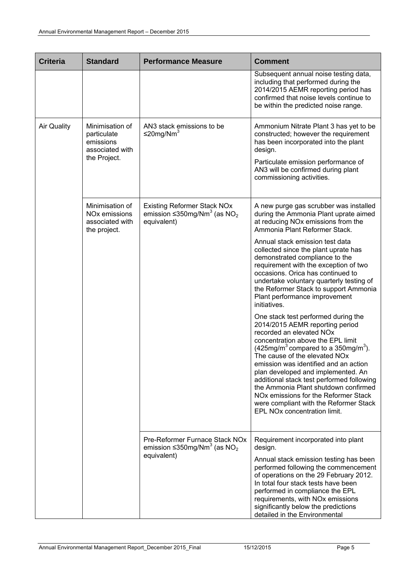| <b>Criteria</b>    | <b>Standard</b>                                                                 | <b>Performance Measure</b>                                                                                     | <b>Comment</b>                                                                                                                                                                                                                                                                                                                                                                                                                                                                                                                              |
|--------------------|---------------------------------------------------------------------------------|----------------------------------------------------------------------------------------------------------------|---------------------------------------------------------------------------------------------------------------------------------------------------------------------------------------------------------------------------------------------------------------------------------------------------------------------------------------------------------------------------------------------------------------------------------------------------------------------------------------------------------------------------------------------|
|                    |                                                                                 |                                                                                                                | Subsequent annual noise testing data,<br>including that performed during the<br>2014/2015 AEMR reporting period has<br>confirmed that noise levels continue to<br>be within the predicted noise range.                                                                                                                                                                                                                                                                                                                                      |
| <b>Air Quality</b> | Minimisation of<br>particulate<br>emissions<br>associated with<br>the Project.  | AN3 stack emissions to be<br>≤20mg/Nm <sup>3</sup>                                                             | Ammonium Nitrate Plant 3 has yet to be<br>constructed; however the requirement<br>has been incorporated into the plant<br>design.<br>Particulate emission performance of<br>AN3 will be confirmed during plant<br>commissioning activities.                                                                                                                                                                                                                                                                                                 |
|                    | Minimisation of<br>NO <sub>x</sub> emissions<br>associated with<br>the project. | <b>Existing Reformer Stack NOx</b><br>emission $\leq$ 350mg/Nm <sup>3</sup> (as NO <sub>2</sub><br>equivalent) | A new purge gas scrubber was installed<br>during the Ammonia Plant uprate aimed<br>at reducing NO <sub>x</sub> emissions from the<br>Ammonia Plant Reformer Stack.                                                                                                                                                                                                                                                                                                                                                                          |
|                    |                                                                                 |                                                                                                                | Annual stack emission test data<br>collected since the plant uprate has<br>demonstrated compliance to the<br>requirement with the exception of two<br>occasions. Orica has continued to<br>undertake voluntary quarterly testing of<br>the Reformer Stack to support Ammonia<br>Plant performance improvement<br>initiatives.                                                                                                                                                                                                               |
|                    |                                                                                 |                                                                                                                | One stack test performed during the<br>2014/2015 AEMR reporting period<br>recorded an elevated NO <sub>x</sub><br>concentration above the EPL limit<br>$(425mg/m3$ compared to a 350mg/m <sup>3</sup> ).<br>The cause of the elevated NOx<br>emission was identified and an action<br>plan developed and implemented. An<br>additional stack test performed following<br>the Ammonia Plant shutdown confirmed<br>NO <sub>x</sub> emissions for the Reformer Stack<br>were compliant with the Reformer Stack<br>EPL NOx concentration limit. |
|                    |                                                                                 | Pre-Reformer Furnace Stack NOx<br>emission $\leq$ 350mg/Nm <sup>3</sup> (as NO <sub>2</sub><br>equivalent)     | Requirement incorporated into plant<br>design.<br>Annual stack emission testing has been<br>performed following the commencement<br>of operations on the 29 February 2012.<br>In total four stack tests have been<br>performed in compliance the EPL<br>requirements, with NO <sub>x</sub> emissions<br>significantly below the predictions<br>detailed in the Environmental                                                                                                                                                                |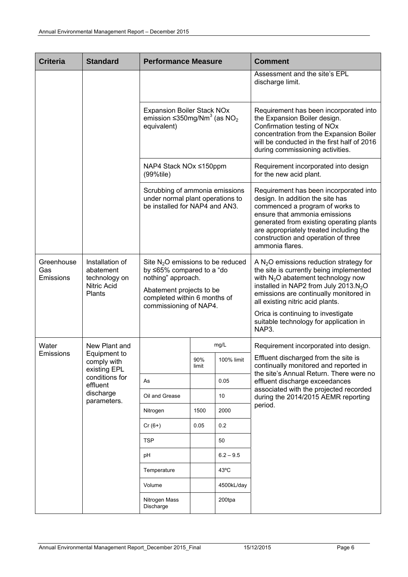| <b>Criteria</b>                | <b>Standard</b>                                                               | <b>Performance Measure</b>                                                                                                                                                                                                                                      |              |             | <b>Comment</b>                                                                                                                                                                                                                                                                                                                                           |
|--------------------------------|-------------------------------------------------------------------------------|-----------------------------------------------------------------------------------------------------------------------------------------------------------------------------------------------------------------------------------------------------------------|--------------|-------------|----------------------------------------------------------------------------------------------------------------------------------------------------------------------------------------------------------------------------------------------------------------------------------------------------------------------------------------------------------|
|                                |                                                                               |                                                                                                                                                                                                                                                                 |              |             | Assessment and the site's EPL<br>discharge limit.                                                                                                                                                                                                                                                                                                        |
|                                |                                                                               | <b>Expansion Boiler Stack NOx</b><br>emission $\leq$ 350mg/Nm <sup>3</sup> (as NO <sub>2</sub><br>equivalent)<br>NAP4 Stack NOx ≤150ppm<br>$(99%$ tile)<br>Scrubbing of ammonia emissions<br>under normal plant operations to<br>be installed for NAP4 and AN3. |              |             | Requirement has been incorporated into<br>the Expansion Boiler design.<br>Confirmation testing of NOx<br>concentration from the Expansion Boiler<br>will be conducted in the first half of 2016<br>during commissioning activities.                                                                                                                      |
|                                |                                                                               |                                                                                                                                                                                                                                                                 |              |             | Requirement incorporated into design<br>for the new acid plant.                                                                                                                                                                                                                                                                                          |
|                                |                                                                               |                                                                                                                                                                                                                                                                 |              |             | Requirement has been incorporated into<br>design. In addition the site has<br>commenced a program of works to<br>ensure that ammonia emissions<br>generated from existing operating plants<br>are appropriately treated including the<br>construction and operation of three<br>ammonia flares.                                                          |
| Greenhouse<br>Gas<br>Emissions | Installation of<br>abatement<br>technology on<br><b>Nitric Acid</b><br>Plants | Site $N_2O$ emissions to be reduced<br>by ≤65% compared to a "do<br>nothing" approach.<br>Abatement projects to be<br>completed within 6 months of<br>commissioning of NAP4.                                                                                    |              |             | A $N_2O$ emissions reduction strategy for<br>the site is currently being implemented<br>with $N_2O$ abatement technology now<br>installed in NAP2 from July 2013.N <sub>2</sub> O<br>emissions are continually monitored in<br>all existing nitric acid plants.<br>Orica is continuing to investigate<br>suitable technology for application in<br>NAP3. |
| Water                          | New Plant and                                                                 |                                                                                                                                                                                                                                                                 |              | mg/L        | Requirement incorporated into design.                                                                                                                                                                                                                                                                                                                    |
| Emissions                      | Equipment to<br>comply with<br>existing EPL                                   |                                                                                                                                                                                                                                                                 | 90%<br>limit | 100% limit  | Effluent discharged from the site is<br>continually monitored and reported in<br>the site's Annual Return. There were no                                                                                                                                                                                                                                 |
|                                | conditions for<br>effluent                                                    | As                                                                                                                                                                                                                                                              |              | 0.05        | effluent discharge exceedances                                                                                                                                                                                                                                                                                                                           |
|                                | discharge<br>parameters.                                                      | Oil and Grease                                                                                                                                                                                                                                                  |              | 10          | associated with the projected recorded<br>during the 2014/2015 AEMR reporting                                                                                                                                                                                                                                                                            |
|                                |                                                                               | Nitrogen                                                                                                                                                                                                                                                        | 1500         | 2000        | period.                                                                                                                                                                                                                                                                                                                                                  |
|                                |                                                                               | $Cr(6+)$                                                                                                                                                                                                                                                        | 0.05         | 0.2         |                                                                                                                                                                                                                                                                                                                                                          |
|                                |                                                                               | <b>TSP</b>                                                                                                                                                                                                                                                      |              | 50          |                                                                                                                                                                                                                                                                                                                                                          |
|                                |                                                                               | рH                                                                                                                                                                                                                                                              |              | $6.2 - 9.5$ |                                                                                                                                                                                                                                                                                                                                                          |
|                                |                                                                               | Temperature                                                                                                                                                                                                                                                     |              | 43°C        |                                                                                                                                                                                                                                                                                                                                                          |
|                                |                                                                               | Volume                                                                                                                                                                                                                                                          |              | 4500kL/day  |                                                                                                                                                                                                                                                                                                                                                          |
|                                |                                                                               | Nitrogen Mass<br>Discharge                                                                                                                                                                                                                                      |              | 200tpa      |                                                                                                                                                                                                                                                                                                                                                          |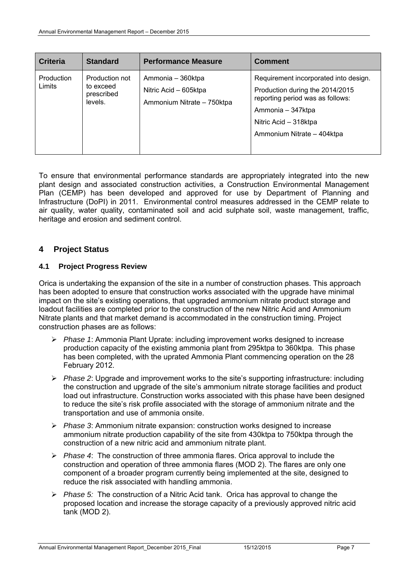| <b>Criteria</b>      | <b>Standard</b>                                      | <b>Performance Measure</b>                                               | <b>Comment</b>                                                                                                                                                                           |
|----------------------|------------------------------------------------------|--------------------------------------------------------------------------|------------------------------------------------------------------------------------------------------------------------------------------------------------------------------------------|
| Production<br>Limits | Production not<br>to exceed<br>prescribed<br>levels. | Ammonia - 360ktpa<br>Nitric Acid – 605ktpa<br>Ammonium Nitrate - 750ktpa | Requirement incorporated into design.<br>Production during the 2014/2015<br>reporting period was as follows:<br>Ammonia – 347ktpa<br>Nitric Acid - 318ktpa<br>Ammonium Nitrate - 404ktpa |

To ensure that environmental performance standards are appropriately integrated into the new plant design and associated construction activities, a Construction Environmental Management Plan (CEMP) has been developed and approved for use by Department of Planning and Infrastructure (DoPI) in 2011. Environmental control measures addressed in the CEMP relate to air quality, water quality, contaminated soil and acid sulphate soil, waste management, traffic, heritage and erosion and sediment control.

#### **4 Project Status**

#### **4.1 Project Progress Review**

Orica is undertaking the expansion of the site in a number of construction phases. This approach has been adopted to ensure that construction works associated with the upgrade have minimal impact on the site's existing operations, that upgraded ammonium nitrate product storage and loadout facilities are completed prior to the construction of the new Nitric Acid and Ammonium Nitrate plants and that market demand is accommodated in the construction timing. Project construction phases are as follows:

- *Phase 1*: Ammonia Plant Uprate: including improvement works designed to increase production capacity of the existing ammonia plant from 295ktpa to 360ktpa. This phase has been completed, with the uprated Ammonia Plant commencing operation on the 28 February 2012.
- *Phase 2*: Upgrade and improvement works to the site's supporting infrastructure: including the construction and upgrade of the site's ammonium nitrate storage facilities and product load out infrastructure. Construction works associated with this phase have been designed to reduce the site's risk profile associated with the storage of ammonium nitrate and the transportation and use of ammonia onsite.
- *Phase 3*: Ammonium nitrate expansion: construction works designed to increase ammonium nitrate production capability of the site from 430ktpa to 750ktpa through the construction of a new nitric acid and ammonium nitrate plant.
- *Phase 4*: The construction of three ammonia flares. Orica approval to include the construction and operation of three ammonia flares (MOD 2). The flares are only one component of a broader program currently being implemented at the site, designed to reduce the risk associated with handling ammonia.
- *Phase 5:* The construction of a Nitric Acid tank. Orica has approval to change the proposed location and increase the storage capacity of a previously approved nitric acid tank (MOD 2).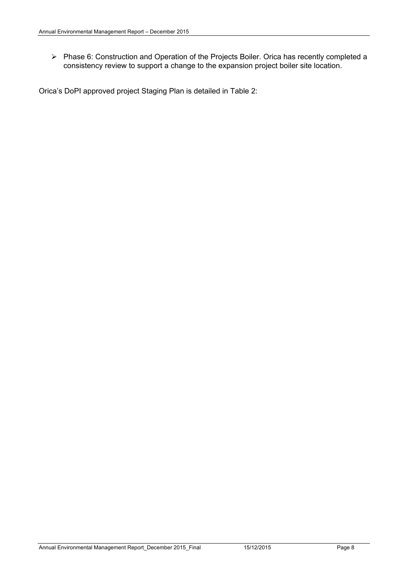Phase 6: Construction and Operation of the Projects Boiler. Orica has recently completed a consistency review to support a change to the expansion project boiler site location.

Orica's DoPI approved project Staging Plan is detailed in Table 2: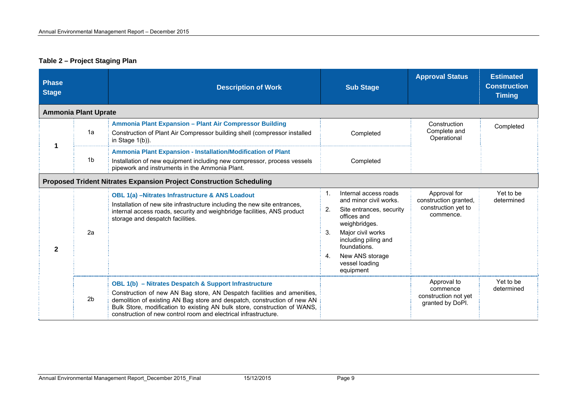#### **Table 2 – Project Staging Plan**

| <b>Phase</b><br><b>Stage</b> |                             | <b>Description of Work</b>                                                                                                                                                                                                                                                                                                                                   | <b>Sub Stage</b>                                                                                                                                                                                                                                   | <b>Approval Status</b>                                                    | <b>Estimated</b><br><b>Construction</b><br><b>Timing</b> |
|------------------------------|-----------------------------|--------------------------------------------------------------------------------------------------------------------------------------------------------------------------------------------------------------------------------------------------------------------------------------------------------------------------------------------------------------|----------------------------------------------------------------------------------------------------------------------------------------------------------------------------------------------------------------------------------------------------|---------------------------------------------------------------------------|----------------------------------------------------------|
|                              | <b>Ammonia Plant Uprate</b> |                                                                                                                                                                                                                                                                                                                                                              |                                                                                                                                                                                                                                                    |                                                                           |                                                          |
| 1                            | 1a                          | Ammonia Plant Expansion - Plant Air Compressor Building<br>Construction of Plant Air Compressor building shell (compressor installed<br>in Stage $1(b)$ ).                                                                                                                                                                                                   | Completed                                                                                                                                                                                                                                          | Construction<br>Complete and<br>Operational                               | Completed                                                |
|                              | 1b                          | Ammonia Plant Expansion - Installation/Modification of Plant<br>Installation of new equipment including new compressor, process vessels<br>pipework and instruments in the Ammonia Plant.                                                                                                                                                                    | Completed                                                                                                                                                                                                                                          |                                                                           |                                                          |
|                              |                             | <b>Proposed Trident Nitrates Expansion Project Construction Scheduling</b>                                                                                                                                                                                                                                                                                   |                                                                                                                                                                                                                                                    |                                                                           |                                                          |
| $\mathbf{2}$                 | 2a                          | <b>OBL 1(a) -Nitrates Infrastructure &amp; ANS Loadout</b><br>Installation of new site infrastructure including the new site entrances,<br>internal access roads, security and weighbridge facilities, ANS product<br>storage and despatch facilities.                                                                                                       | Internal access roads<br>1.<br>and minor civil works.<br>2.<br>Site entrances, security<br>offices and<br>weighbridges.<br>Major civil works<br>3.<br>including piling and<br>foundations.<br>New ANS storage<br>4.<br>vessel loading<br>equipment | Approval for<br>construction granted,<br>construction yet to<br>commence. | Yet to be<br>determined                                  |
|                              | 2 <sub>b</sub>              | OBL 1(b) - Nitrates Despatch & Support Infrastructure<br>Construction of new AN Bag store, AN Despatch facilities and amenities,<br>demolition of existing AN Bag store and despatch, construction of new AN<br>Bulk Store, modification to existing AN bulk store, construction of WANS,<br>construction of new control room and electrical infrastructure. |                                                                                                                                                                                                                                                    | Approval to<br>commence<br>construction not yet<br>granted by DoPI.       | Yet to be<br>determined                                  |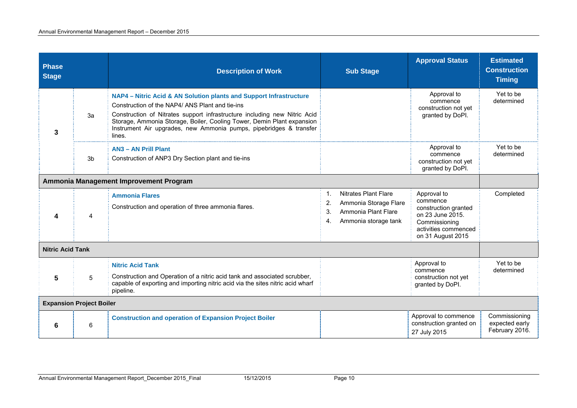| <b>Phase</b><br><b>Stage</b>    |    | <b>Description of Work</b>                                                                                                                                                                                                                                                                                                                                  | <b>Sub Stage</b>                                                                                                            | <b>Approval Status</b>                                                                                                            | <b>Estimated</b><br><b>Construction</b><br><b>Timing</b> |
|---------------------------------|----|-------------------------------------------------------------------------------------------------------------------------------------------------------------------------------------------------------------------------------------------------------------------------------------------------------------------------------------------------------------|-----------------------------------------------------------------------------------------------------------------------------|-----------------------------------------------------------------------------------------------------------------------------------|----------------------------------------------------------|
| 3                               | 3a | NAP4 - Nitric Acid & AN Solution plants and Support Infrastructure<br>Construction of the NAP4/ANS Plant and tie-ins<br>Construction of Nitrates support infrastructure including new Nitric Acid<br>Storage, Ammonia Storage, Boiler, Cooling Tower, Demin Plant expansion<br>Instrument Air upgrades, new Ammonia pumps, pipebridges & transfer<br>lines. |                                                                                                                             | Approval to<br>commence<br>construction not yet<br>granted by DoPI.                                                               | Yet to be<br>determined                                  |
|                                 | 3b | <b>AN3 - AN Prill Plant</b><br>Construction of ANP3 Dry Section plant and tie-ins                                                                                                                                                                                                                                                                           |                                                                                                                             | Approval to<br>commence<br>construction not yet<br>granted by DoPI.                                                               | Yet to be<br>determined                                  |
|                                 |    | Ammonia Management Improvement Program                                                                                                                                                                                                                                                                                                                      |                                                                                                                             |                                                                                                                                   |                                                          |
| 4                               | 4  | <b>Ammonia Flares</b><br>Construction and operation of three ammonia flares.                                                                                                                                                                                                                                                                                | <b>Nitrates Plant Flare</b><br>1.<br>Ammonia Storage Flare<br>2.<br>Ammonia Plant Flare<br>3.<br>Ammonia storage tank<br>4. | Approval to<br>commence<br>construction granted<br>on 23 June 2015.<br>Commissioning<br>activities commenced<br>on 31 August 2015 | Completed                                                |
| <b>Nitric Acid Tank</b>         |    |                                                                                                                                                                                                                                                                                                                                                             |                                                                                                                             |                                                                                                                                   |                                                          |
| 5                               | 5  | <b>Nitric Acid Tank</b><br>Construction and Operation of a nitric acid tank and associated scrubber,<br>capable of exporting and importing nitric acid via the sites nitric acid wharf<br>pipeline.                                                                                                                                                         |                                                                                                                             | Approval to<br>commence<br>construction not yet<br>granted by DoPI.                                                               | Yet to be<br>determined                                  |
| <b>Expansion Project Boiler</b> |    |                                                                                                                                                                                                                                                                                                                                                             |                                                                                                                             |                                                                                                                                   |                                                          |
| 6                               | 6  | <b>Construction and operation of Expansion Project Boiler</b>                                                                                                                                                                                                                                                                                               |                                                                                                                             | Approval to commence<br>construction granted on<br>27 July 2015                                                                   | Commissioning<br>expected early<br>February 2016.        |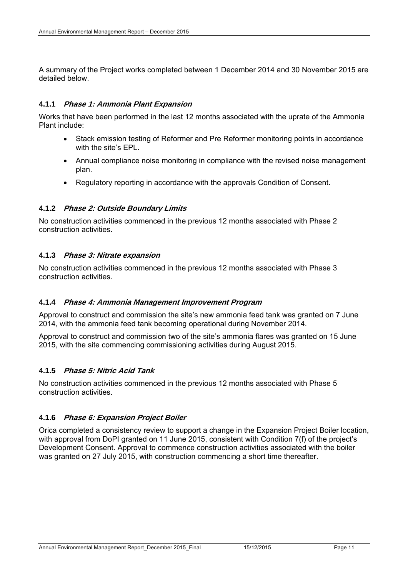A summary of the Project works completed between 1 December 2014 and 30 November 2015 are detailed below.

#### **4.1.1 Phase 1: Ammonia Plant Expansion**

Works that have been performed in the last 12 months associated with the uprate of the Ammonia Plant include:

- Stack emission testing of Reformer and Pre Reformer monitoring points in accordance with the site's EPL.
- Annual compliance noise monitoring in compliance with the revised noise management plan.
- Regulatory reporting in accordance with the approvals Condition of Consent.

#### **4.1.2 Phase 2: Outside Boundary Limits**

No construction activities commenced in the previous 12 months associated with Phase 2 construction activities.

#### **4.1.3 Phase 3: Nitrate expansion**

No construction activities commenced in the previous 12 months associated with Phase 3 construction activities.

#### **4.1.4 Phase 4: Ammonia Management Improvement Program**

Approval to construct and commission the site's new ammonia feed tank was granted on 7 June 2014, with the ammonia feed tank becoming operational during November 2014.

Approval to construct and commission two of the site's ammonia flares was granted on 15 June 2015, with the site commencing commissioning activities during August 2015.

#### **4.1.5 Phase 5: Nitric Acid Tank**

No construction activities commenced in the previous 12 months associated with Phase 5 construction activities.

#### **4.1.6 Phase 6: Expansion Project Boiler**

Orica completed a consistency review to support a change in the Expansion Project Boiler location, with approval from DoPI granted on 11 June 2015, consistent with Condition 7(f) of the project's Development Consent. Approval to commence construction activities associated with the boiler was granted on 27 July 2015, with construction commencing a short time thereafter.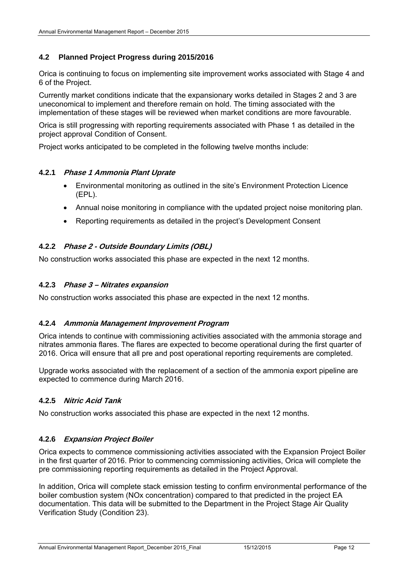#### **4.2 Planned Project Progress during 2015/2016**

Orica is continuing to focus on implementing site improvement works associated with Stage 4 and 6 of the Project.

Currently market conditions indicate that the expansionary works detailed in Stages 2 and 3 are uneconomical to implement and therefore remain on hold. The timing associated with the implementation of these stages will be reviewed when market conditions are more favourable.

Orica is still progressing with reporting requirements associated with Phase 1 as detailed in the project approval Condition of Consent.

Project works anticipated to be completed in the following twelve months include:

#### **4.2.1 Phase 1 Ammonia Plant Uprate**

- Environmental monitoring as outlined in the site's Environment Protection Licence (EPL).
- Annual noise monitoring in compliance with the updated project noise monitoring plan.
- Reporting requirements as detailed in the project's Development Consent

#### **4.2.2 Phase 2 - Outside Boundary Limits (OBL)**

No construction works associated this phase are expected in the next 12 months.

#### **4.2.3 Phase 3 – Nitrates expansion**

No construction works associated this phase are expected in the next 12 months.

#### **4.2.4 Ammonia Management Improvement Program**

Orica intends to continue with commissioning activities associated with the ammonia storage and nitrates ammonia flares. The flares are expected to become operational during the first quarter of 2016. Orica will ensure that all pre and post operational reporting requirements are completed.

Upgrade works associated with the replacement of a section of the ammonia export pipeline are expected to commence during March 2016.

#### **4.2.5 Nitric Acid Tank**

No construction works associated this phase are expected in the next 12 months.

#### **4.2.6 Expansion Project Boiler**

Orica expects to commence commissioning activities associated with the Expansion Project Boiler in the first quarter of 2016. Prior to commencing commissioning activities, Orica will complete the pre commissioning reporting requirements as detailed in the Project Approval.

In addition, Orica will complete stack emission testing to confirm environmental performance of the boiler combustion system (NOx concentration) compared to that predicted in the project EA documentation. This data will be submitted to the Department in the Project Stage Air Quality Verification Study (Condition 23).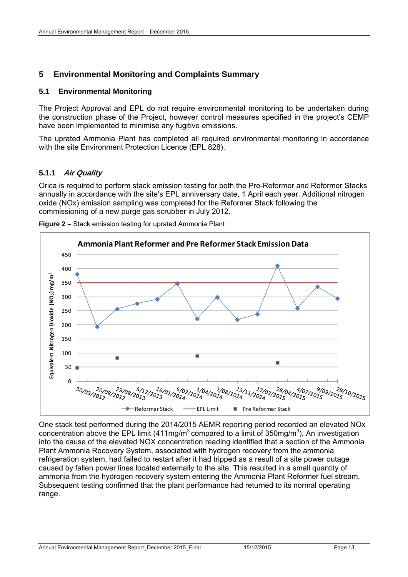#### **5 Environmental Monitoring and Complaints Summary**

#### **5.1 Environmental Monitoring**

The Project Approval and EPL do not require environmental monitoring to be undertaken during the construction phase of the Project, however control measures specified in the project's CEMP have been implemented to minimise any fugitive emissions.

The uprated Ammonia Plant has completed all required environmental monitoring in accordance with the site Environment Protection Licence (EPL 828).

#### **5.1.1 Air Quality**

Orica is required to perform stack emission testing for both the Pre-Reformer and Reformer Stacks annually in accordance with the site's EPL anniversary date, 1 April each year. Additional nitrogen oxide (NOx) emission sampling was completed for the Reformer Stack following the commissioning of a new purge gas scrubber in July 2012.





One stack test performed during the 2014/2015 AEMR reporting period recorded an elevated NOx concentration above the EPL limit (411mg/m<sup>3</sup> compared to a limit of 350mg/m<sup>3</sup>). An investigation into the cause of the elevated NOX concentration reading identified that a section of the Ammonia Plant Ammonia Recovery System, associated with hydrogen recovery from the ammonia refrigeration system, had failed to restart after it had tripped as a result of a site power outage caused by fallen power lines located externally to the site. This resulted in a small quantity of ammonia from the hydrogen recovery system entering the Ammonia Plant Reformer fuel stream. Subsequent testing confirmed that the plant performance had returned to its normal operating range.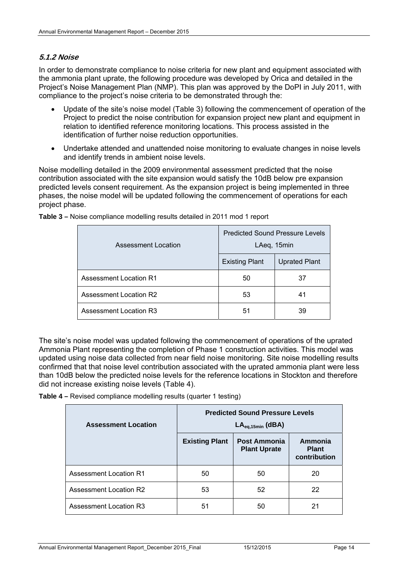#### **5.1.2 Noise**

In order to demonstrate compliance to noise criteria for new plant and equipment associated with the ammonia plant uprate, the following procedure was developed by Orica and detailed in the Project's Noise Management Plan (NMP). This plan was approved by the DoPI in July 2011, with compliance to the project's noise criteria to be demonstrated through the:

- Update of the site's noise model (Table 3) following the commencement of operation of the Project to predict the noise contribution for expansion project new plant and equipment in relation to identified reference monitoring locations. This process assisted in the identification of further noise reduction opportunities.
- Undertake attended and unattended noise monitoring to evaluate changes in noise levels and identify trends in ambient noise levels.

Noise modelling detailed in the 2009 environmental assessment predicted that the noise contribution associated with the site expansion would satisfy the 10dB below pre expansion predicted levels consent requirement. As the expansion project is being implemented in three phases, the noise model will be updated following the commencement of operations for each project phase.

| Assessment Location    | <b>Predicted Sound Pressure Levels</b><br>LAeq, 15min |                      |  |
|------------------------|-------------------------------------------------------|----------------------|--|
|                        | <b>Existing Plant</b>                                 | <b>Uprated Plant</b> |  |
| Assessment Location R1 | 50                                                    | 37                   |  |
| Assessment Location R2 | 53                                                    | 41                   |  |
| Assessment Location R3 | 51                                                    | 39                   |  |

**Table 3 –** Noise compliance modelling results detailed in 2011 mod 1 report

The site's noise model was updated following the commencement of operations of the uprated Ammonia Plant representing the completion of Phase 1 construction activities. This model was updated using noise data collected from near field noise monitoring. Site noise modelling results confirmed that that noise level contribution associated with the uprated ammonia plant were less than 10dB below the predicted noise levels for the reference locations in Stockton and therefore did not increase existing noise levels (Table 4).

| <b>Table 4 – Revised compliance modelling results (quarter 1 testing)</b> |  |  |
|---------------------------------------------------------------------------|--|--|
|                                                                           |  |  |

| <b>Assessment Location</b>    | <b>Predicted Sound Pressure Levels</b><br>$LA_{eq,15min}$ (dBA) |                                     |                                         |  |  |
|-------------------------------|-----------------------------------------------------------------|-------------------------------------|-----------------------------------------|--|--|
|                               | <b>Existing Plant</b>                                           | Post Ammonia<br><b>Plant Uprate</b> | Ammonia<br><b>Plant</b><br>contribution |  |  |
| <b>Assessment Location R1</b> | 50                                                              | 50                                  | 20                                      |  |  |
| <b>Assessment Location R2</b> | 53                                                              | 52                                  | 22                                      |  |  |
| Assessment Location R3        | 51                                                              | 50                                  | 21                                      |  |  |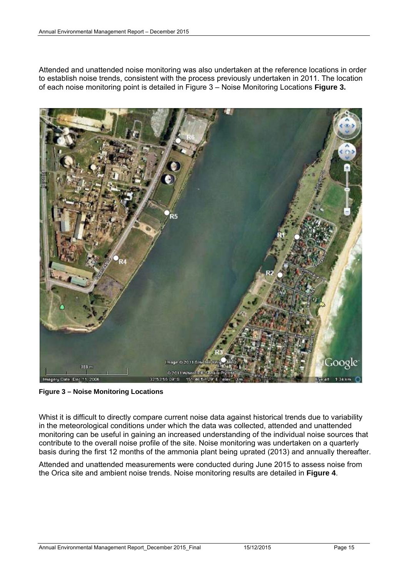Attended and unattended noise monitoring was also undertaken at the reference locations in order to establish noise trends, consistent with the process previously undertaken in 2011. The location of each noise monitoring point is detailed in Figure 3 – Noise Monitoring Locations **Figure 3.**



**Figure 3 – Noise Monitoring Locations** 

Whist it is difficult to directly compare current noise data against historical trends due to variability in the meteorological conditions under which the data was collected, attended and unattended monitoring can be useful in gaining an increased understanding of the individual noise sources that contribute to the overall noise profile of the site. Noise monitoring was undertaken on a quarterly basis during the first 12 months of the ammonia plant being uprated (2013) and annually thereafter.

Attended and unattended measurements were conducted during June 2015 to assess noise from the Orica site and ambient noise trends. Noise monitoring results are detailed in **Figure 4**.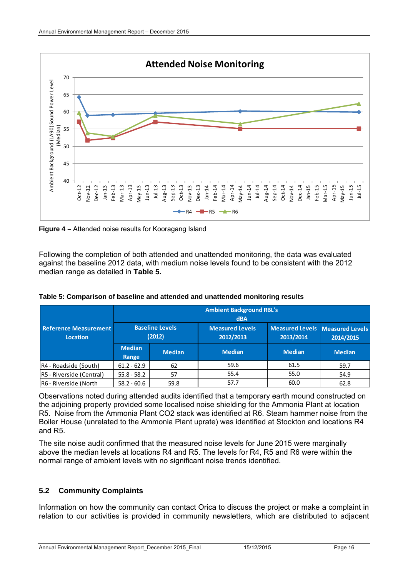

**Figure 4 –** Attended noise results for Kooragang Island

Following the completion of both attended and unattended monitoring, the data was evaluated against the baseline 2012 data, with medium noise levels found to be consistent with the 2012 median range as detailed in **Table 5.** 

|                                          | <b>Ambient Background RBL's</b><br><b>dBA</b> |               |                                     |                                              |               |  |
|------------------------------------------|-----------------------------------------------|---------------|-------------------------------------|----------------------------------------------|---------------|--|
| <b>Reference Measurement</b><br>Location | <b>Baseline Levels</b><br>(2012)              |               | <b>Measured Levels</b><br>2012/2013 | Measured Levels Measured Levels<br>2013/2014 | 2014/2015     |  |
|                                          | <b>Median</b><br>Range                        | <b>Median</b> | <b>Median</b>                       | <b>Median</b>                                | <b>Median</b> |  |
| R4 - Roadside (South)                    | $61.2 - 62.9$                                 | 62            | 59.6                                | 61.5                                         | 59.7          |  |
| R5 - Riverside (Central)                 | $55.8 - 58.2$                                 | 57            | 55.4                                | 55.0                                         | 54.9          |  |
| R6 - Riverside (North                    | $58.2 - 60.6$                                 | 59.8          | 57.7                                | 60.0                                         | 62.8          |  |

**Table 5: Comparison of baseline and attended and unattended monitoring results** 

Observations noted during attended audits identified that a temporary earth mound constructed on the adjoining property provided some localised noise shielding for the Ammonia Plant at location R5. Noise from the Ammonia Plant CO2 stack was identified at R6. Steam hammer noise from the Boiler House (unrelated to the Ammonia Plant uprate) was identified at Stockton and locations R4 and R5.

The site noise audit confirmed that the measured noise levels for June 2015 were marginally above the median levels at locations R4 and R5. The levels for R4, R5 and R6 were within the normal range of ambient levels with no significant noise trends identified.

#### **5.2 Community Complaints**

Information on how the community can contact Orica to discuss the project or make a complaint in relation to our activities is provided in community newsletters, which are distributed to adjacent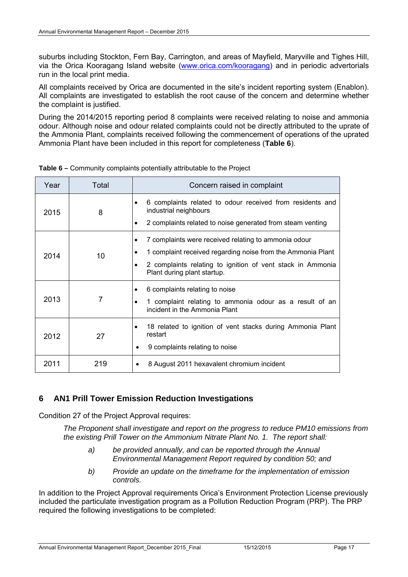suburbs including Stockton, Fern Bay, Carrington, and areas of Mayfield, Maryville and Tighes Hill, via the Orica Kooragang Island website (www.orica.com/kooragang) and in periodic advertorials run in the local print media.

All complaints received by Orica are documented in the site's incident reporting system (Enablon). All complaints are investigated to establish the root cause of the concern and determine whether the complaint is justified.

During the 2014/2015 reporting period 8 complaints were received relating to noise and ammonia odour. Although noise and odour related complaints could not be directly attributed to the uprate of the Ammonia Plant, complaints received following the commencement of operations of the uprated Ammonia Plant have been included in this report for completeness (**Table 6**).

| Year | Total | Concern raised in complaint                                                                                                                                                                                                |
|------|-------|----------------------------------------------------------------------------------------------------------------------------------------------------------------------------------------------------------------------------|
| 2015 | 8     | 6 complaints related to odour received from residents and<br>٠<br>industrial neighbours<br>2 complaints related to noise generated from steam venting<br>$\bullet$                                                         |
| 2014 | 10    | 7 complaints were received relating to ammonia odour<br>٠<br>1 complaint received regarding noise from the Ammonia Plant<br>2 complaints relating to ignition of vent stack in Ammonia<br>٠<br>Plant during plant startup. |
| 2013 | 7     | 6 complaints relating to noise<br>$\bullet$<br>1 complaint relating to ammonia odour as a result of an<br>incident in the Ammonia Plant                                                                                    |
| 2012 | 27    | 18 related to ignition of vent stacks during Ammonia Plant<br>٠<br>restart<br>9 complaints relating to noise<br>٠                                                                                                          |
| 2011 | 219   | 8 August 2011 hexavalent chromium incident                                                                                                                                                                                 |

**Table 6 –** Community complaints potentially attributable to the Project

#### **6 AN1 Prill Tower Emission Reduction Investigations**

Condition 27 of the Project Approval requires:

*The Proponent shall investigate and report on the progress to reduce PM10 emissions from the existing Prill Tower on the Ammonium Nitrate Plant No. 1. The report shall:* 

- *a) be provided annually, and can be reported through the Annual Environmental Management Report required by condition 50; and*
- *b) Provide an update on the timeframe for the implementation of emission controls.*

In addition to the Project Approval requirements Orica's Environment Protection License previously included the particulate investigation program as a Pollution Reduction Program (PRP). The PRP required the following investigations to be completed: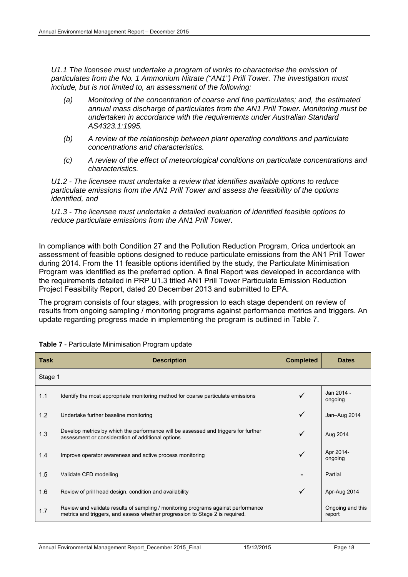*U1.1 The licensee must undertake a program of works to characterise the emission of particulates from the No. 1 Ammonium Nitrate ("AN1") Prill Tower. The investigation must include, but is not limited to, an assessment of the following:* 

- *(a) Monitoring of the concentration of coarse and fine particulates; and, the estimated annual mass discharge of particulates from the AN1 Prill Tower. Monitoring must be undertaken in accordance with the requirements under Australian Standard AS4323.1:1995.*
- *(b) A review of the relationship between plant operating conditions and particulate concentrations and characteristics.*
- *(c) A review of the effect of meteorological conditions on particulate concentrations and characteristics.*

*U1.2 - The licensee must undertake a review that identifies available options to reduce particulate emissions from the AN1 Prill Tower and assess the feasibility of the options identified, and* 

*U1.3 - The licensee must undertake a detailed evaluation of identified feasible options to reduce particulate emissions from the AN1 Prill Tower.* 

In compliance with both Condition 27 and the Pollution Reduction Program, Orica undertook an assessment of feasible options designed to reduce particulate emissions from the AN1 Prill Tower during 2014. From the 11 feasible options identified by the study, the Particulate Minimisation Program was identified as the preferred option. A final Report was developed in accordance with the requirements detailed in PRP U1.3 titled AN1 Prill Tower Particulate Emission Reduction Project Feasibility Report, dated 20 December 2013 and submitted to EPA.

The program consists of four stages, with progression to each stage dependent on review of results from ongoing sampling / monitoring programs against performance metrics and triggers. An update regarding progress made in implementing the program is outlined in Table 7.

| Task    | <b>Description</b>                                                                                                                                                | <b>Completed</b> | <b>Dates</b>               |
|---------|-------------------------------------------------------------------------------------------------------------------------------------------------------------------|------------------|----------------------------|
| Stage 1 |                                                                                                                                                                   |                  |                            |
| 1.1     | Identify the most appropriate monitoring method for coarse particulate emissions                                                                                  |                  | Jan 2014 -<br>ongoing      |
| 1.2     | Undertake further baseline monitoring                                                                                                                             | $\checkmark$     | Jan-Aug 2014               |
| 1.3     | Develop metrics by which the performance will be assessed and triggers for further<br>assessment or consideration of additional options                           | ✓                | Aug 2014                   |
| 1.4     | Improve operator awareness and active process monitoring                                                                                                          |                  | Apr 2014-<br>ongoing       |
| 1.5     | Validate CFD modelling                                                                                                                                            |                  | Partial                    |
| 1.6     | Review of prill head design, condition and availability                                                                                                           | $\checkmark$     | Apr-Aug 2014               |
| 1.7     | Review and validate results of sampling / monitoring programs against performance<br>metrics and triggers, and assess whether progression to Stage 2 is required. |                  | Ongoing and this<br>report |

|  |  |  |  | Table 7 - Particulate Minimisation Program update |  |  |
|--|--|--|--|---------------------------------------------------|--|--|
|--|--|--|--|---------------------------------------------------|--|--|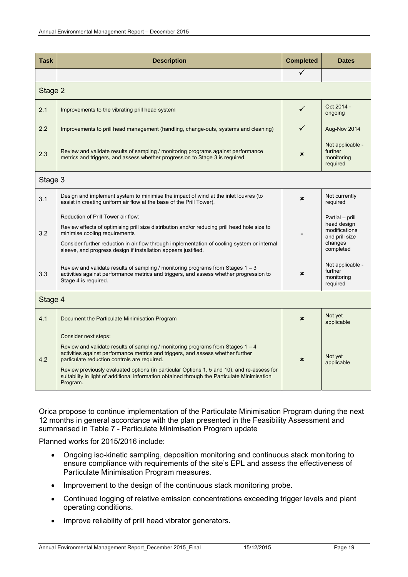| <b>Task</b> | <b>Description</b>                                                                                                                                                                                                                                                                                                                                                                                                                                     | <b>Completed</b> | <b>Dates</b>                                                                              |
|-------------|--------------------------------------------------------------------------------------------------------------------------------------------------------------------------------------------------------------------------------------------------------------------------------------------------------------------------------------------------------------------------------------------------------------------------------------------------------|------------------|-------------------------------------------------------------------------------------------|
|             |                                                                                                                                                                                                                                                                                                                                                                                                                                                        | ✓                |                                                                                           |
| Stage 2     |                                                                                                                                                                                                                                                                                                                                                                                                                                                        |                  |                                                                                           |
| 2.1         | Improvements to the vibrating prill head system                                                                                                                                                                                                                                                                                                                                                                                                        | ✓                | Oct 2014 -<br>ongoing                                                                     |
| 2.2         | Improvements to prill head management (handling, change-outs, systems and cleaning)                                                                                                                                                                                                                                                                                                                                                                    |                  | Aug-Nov 2014                                                                              |
| 2.3         | Review and validate results of sampling / monitoring programs against performance<br>metrics and triggers, and assess whether progression to Stage 3 is required.                                                                                                                                                                                                                                                                                      | $\mathbf x$      | Not applicable -<br>further<br>monitoring<br>required                                     |
| Stage 3     |                                                                                                                                                                                                                                                                                                                                                                                                                                                        |                  |                                                                                           |
| 3.1         | Design and implement system to minimise the impact of wind at the inlet louvres (to<br>assist in creating uniform air flow at the base of the Prill Tower).                                                                                                                                                                                                                                                                                            | $\mathbf x$      | Not currently<br>required                                                                 |
| 3.2         | Reduction of Prill Tower air flow:<br>Review effects of optimising prill size distribution and/or reducing prill head hole size to<br>minimise cooling requirements<br>Consider further reduction in air flow through implementation of cooling system or internal<br>sleeve, and progress design if installation appears justified.                                                                                                                   |                  | Partial - prill<br>head design<br>modifications<br>and prill size<br>changes<br>completed |
| 3.3         | Review and validate results of sampling / monitoring programs from Stages $1 - 3$<br>activities against performance metrics and triggers, and assess whether progression to<br>Stage 4 is required.                                                                                                                                                                                                                                                    | ×                | Not applicable -<br>further<br>monitoring<br>required                                     |
| Stage 4     |                                                                                                                                                                                                                                                                                                                                                                                                                                                        |                  |                                                                                           |
| 4.1         | Document the Particulate Minimisation Program                                                                                                                                                                                                                                                                                                                                                                                                          | $\mathbf x$      | Not yet<br>applicable                                                                     |
| 4.2         | Consider next steps:<br>Review and validate results of sampling / monitoring programs from Stages $1 - 4$<br>activities against performance metrics and triggers, and assess whether further<br>particulate reduction controls are required.<br>Review previously evaluated options (in particular Options 1, 5 and 10), and re-assess for<br>suitability in light of additional information obtained through the Particulate Minimisation<br>Program. | $\mathbf x$      | Not yet<br>applicable                                                                     |

Orica propose to continue implementation of the Particulate Minimisation Program during the next 12 months in general accordance with the plan presented in the Feasibility Assessment and summarised in Table 7 - Particulate Minimisation Program update

Planned works for 2015/2016 include:

- Ongoing iso-kinetic sampling, deposition monitoring and continuous stack monitoring to ensure compliance with requirements of the site's EPL and assess the effectiveness of Particulate Minimisation Program measures.
- Improvement to the design of the continuous stack monitoring probe.
- Continued logging of relative emission concentrations exceeding trigger levels and plant operating conditions.
- Improve reliability of prill head vibrator generators.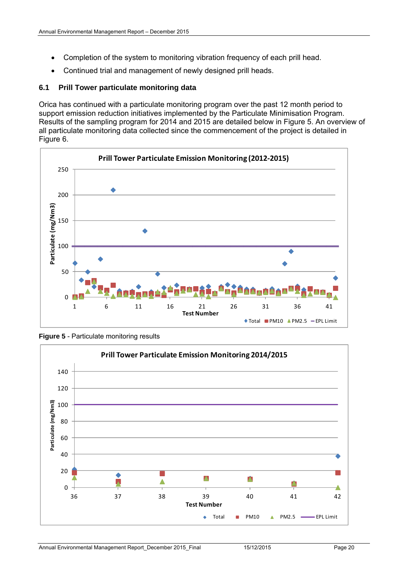- Completion of the system to monitoring vibration frequency of each prill head.
- Continued trial and management of newly designed prill heads.

#### **6.1 Prill Tower particulate monitoring data**

Orica has continued with a particulate monitoring program over the past 12 month period to support emission reduction initiatives implemented by the Particulate Minimisation Program. Results of the sampling program for 2014 and 2015 are detailed below in Figure 5. An overview of all particulate monitoring data collected since the commencement of the project is detailed in Figure 6.



**Figure 5** - Particulate monitoring results

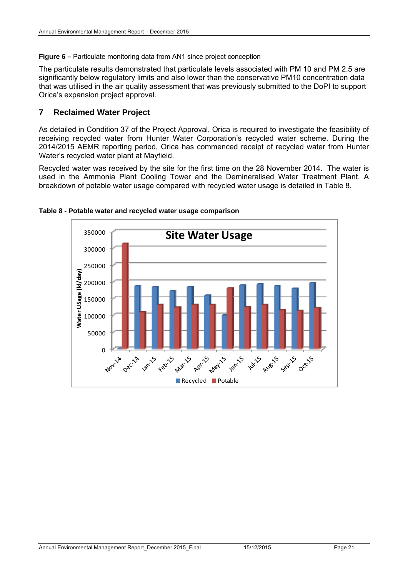#### **Figure 6 – Particulate monitoring data from AN1 since project conception**

The particulate results demonstrated that particulate levels associated with PM 10 and PM 2.5 are significantly below regulatory limits and also lower than the conservative PM10 concentration data that was utilised in the air quality assessment that was previously submitted to the DoPI to support Orica's expansion project approval.

#### **7 Reclaimed Water Project**

As detailed in Condition 37 of the Project Approval, Orica is required to investigate the feasibility of receiving recycled water from Hunter Water Corporation's recycled water scheme. During the 2014/2015 AEMR reporting period, Orica has commenced receipt of recycled water from Hunter Water's recycled water plant at Mayfield.

Recycled water was received by the site for the first time on the 28 November 2014. The water is used in the Ammonia Plant Cooling Tower and the Demineralised Water Treatment Plant. A breakdown of potable water usage compared with recycled water usage is detailed in Table 8.



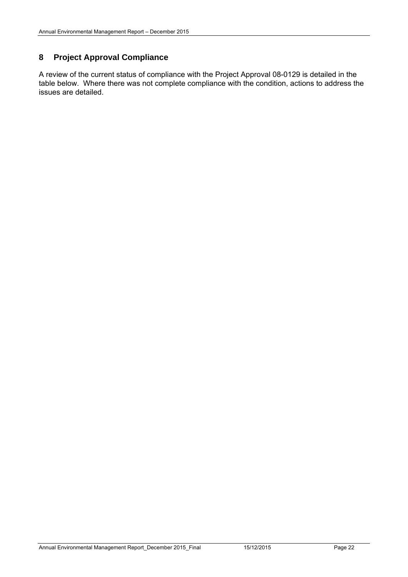#### **8 Project Approval Compliance**

A review of the current status of compliance with the Project Approval 08-0129 is detailed in the table below. Where there was not complete compliance with the condition, actions to address the issues are detailed.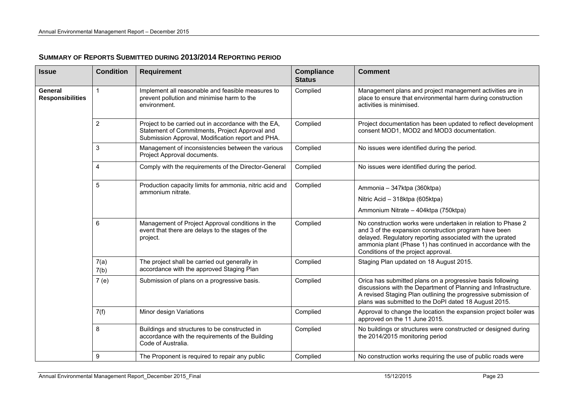| <b>Issue</b>                       | <b>Condition</b>        | <b>Requirement</b>                                                                                                                                          | <b>Compliance</b><br><b>Status</b> | <b>Comment</b>                                                                                                                                                                                                                                                                            |
|------------------------------------|-------------------------|-------------------------------------------------------------------------------------------------------------------------------------------------------------|------------------------------------|-------------------------------------------------------------------------------------------------------------------------------------------------------------------------------------------------------------------------------------------------------------------------------------------|
| General<br><b>Responsibilities</b> | 1                       | Implement all reasonable and feasible measures to<br>prevent pollution and minimise harm to the<br>environment.                                             | Complied                           | Management plans and project management activities are in<br>place to ensure that environmental harm during construction<br>activities is minimised.                                                                                                                                      |
|                                    | $\overline{c}$          | Project to be carried out in accordance with the EA,<br>Statement of Commitments, Project Approval and<br>Submission Approval, Modification report and PHA. | Complied                           | Project documentation has been updated to reflect development<br>consent MOD1, MOD2 and MOD3 documentation.                                                                                                                                                                               |
|                                    | 3                       | Management of inconsistencies between the various<br>Project Approval documents.                                                                            | Complied                           | No issues were identified during the period.                                                                                                                                                                                                                                              |
|                                    | $\overline{\mathbf{4}}$ | Comply with the requirements of the Director-General                                                                                                        | Complied                           | No issues were identified during the period.                                                                                                                                                                                                                                              |
|                                    | 5                       | Production capacity limits for ammonia, nitric acid and<br>ammonium nitrate.                                                                                | Complied                           | Ammonia – 347ktpa (360ktpa)                                                                                                                                                                                                                                                               |
|                                    |                         |                                                                                                                                                             |                                    | Nitric Acid - 318ktpa (605ktpa)                                                                                                                                                                                                                                                           |
|                                    |                         |                                                                                                                                                             |                                    | Ammonium Nitrate - 404ktpa (750ktpa)                                                                                                                                                                                                                                                      |
|                                    | 6                       | Management of Project Approval conditions in the<br>event that there are delays to the stages of the<br>project.                                            | Complied                           | No construction works were undertaken in relation to Phase 2<br>and 3 of the expansion construction program have been<br>delayed. Regulatory reporting associated with the uprated<br>ammonia plant (Phase 1) has continued in accordance with the<br>Conditions of the project approval. |
|                                    | 7(a)<br>7(b)            | The project shall be carried out generally in<br>accordance with the approved Staging Plan                                                                  | Complied                           | Staging Plan updated on 18 August 2015.                                                                                                                                                                                                                                                   |
|                                    | 7(e)                    | Submission of plans on a progressive basis.                                                                                                                 | Complied                           | Orica has submitted plans on a progressive basis following<br>discussions with the Department of Planning and Infrastructure.<br>A revised Staging Plan outlining the progressive submission of<br>plans was submitted to the DoPI dated 18 August 2015.                                  |
|                                    | 7(f)                    | Minor design Variations                                                                                                                                     | Complied                           | Approval to change the location the expansion project boiler was<br>approved on the 11 June 2015.                                                                                                                                                                                         |
|                                    | 8                       | Buildings and structures to be constructed in<br>accordance with the requirements of the Building<br>Code of Australia.                                     | Complied                           | No buildings or structures were constructed or designed during<br>the 2014/2015 monitoring period                                                                                                                                                                                         |
|                                    | 9                       | The Proponent is required to repair any public                                                                                                              | Complied                           | No construction works requiring the use of public roads were                                                                                                                                                                                                                              |

#### **SUMMARY OF REPORTS SUBMITTED DURING 2013/2014 REPORTING PERIOD**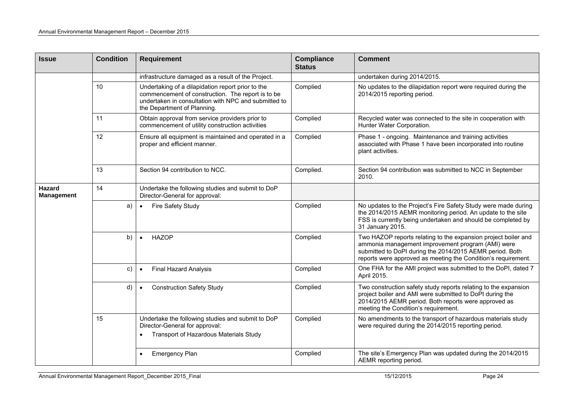| <b>Issue</b>                | <b>Condition</b> | <b>Requirement</b>                                                                                                                                                                            | <b>Compliance</b><br><b>Status</b> | <b>Comment</b>                                                                                                                                                                                                                                   |
|-----------------------------|------------------|-----------------------------------------------------------------------------------------------------------------------------------------------------------------------------------------------|------------------------------------|--------------------------------------------------------------------------------------------------------------------------------------------------------------------------------------------------------------------------------------------------|
|                             |                  | infrastructure damaged as a result of the Project.                                                                                                                                            |                                    | undertaken during 2014/2015.                                                                                                                                                                                                                     |
|                             | 10               | Undertaking of a dilapidation report prior to the<br>commencement of construction. The report is to be<br>undertaken in consultation with NPC and submitted to<br>the Department of Planning. | Complied                           | No updates to the dilapidation report were required during the<br>2014/2015 reporting period.                                                                                                                                                    |
|                             | 11               | Obtain approval from service providers prior to<br>commencement of utility construction activities                                                                                            | Complied                           | Recycled water was connected to the site in cooperation with<br>Hunter Water Corporation.                                                                                                                                                        |
|                             | 12               | Ensure all equipment is maintained and operated in a<br>proper and efficient manner.                                                                                                          | Complied                           | Phase 1 - ongoing. Maintenance and training activities<br>associated with Phase 1 have been incorporated into routine<br>plant activities.                                                                                                       |
|                             | 13               | Section 94 contribution to NCC.                                                                                                                                                               | Complied.                          | Section 94 contribution was submitted to NCC in September<br>2010.                                                                                                                                                                               |
| Hazard<br><b>Management</b> | 14               | Undertake the following studies and submit to DoP<br>Director-General for approval:                                                                                                           |                                    |                                                                                                                                                                                                                                                  |
|                             | a)               | Fire Safety Study<br>$\bullet$                                                                                                                                                                | Complied                           | No updates to the Project's Fire Safety Study were made during<br>the 2014/2015 AEMR monitoring period. An update to the site<br>FSS is currently being undertaken and should be completed by<br>31 January 2015.                                |
|                             | b)               | <b>HAZOP</b>                                                                                                                                                                                  | Complied                           | Two HAZOP reports relating to the expansion project boiler and<br>ammonia management improvement program (AMI) were<br>submitted to DoPI during the 2014/2015 AEMR period. Both<br>reports were approved as meeting the Condition's requirement. |
|                             | C)               | <b>Final Hazard Analysis</b><br>$\bullet$                                                                                                                                                     | Complied                           | One FHA for the AMI project was submitted to the DoPI, dated 7<br>April 2015.                                                                                                                                                                    |
|                             | d)               | <b>Construction Safety Study</b>                                                                                                                                                              | Complied                           | Two construction safety study reports relating to the expansion<br>project boiler and AMI were submitted to DoPI during the<br>2014/2015 AEMR period. Both reports were approved as<br>meeting the Condition's requirement.                      |
|                             | 15               | Undertake the following studies and submit to DoP<br>Director-General for approval:<br>Transport of Hazardous Materials Study                                                                 | Complied                           | No amendments to the transport of hazardous materials study<br>were required during the 2014/2015 reporting period.                                                                                                                              |
|                             |                  | <b>Emergency Plan</b>                                                                                                                                                                         | Complied                           | The site's Emergency Plan was updated during the 2014/2015<br>AEMR reporting period.                                                                                                                                                             |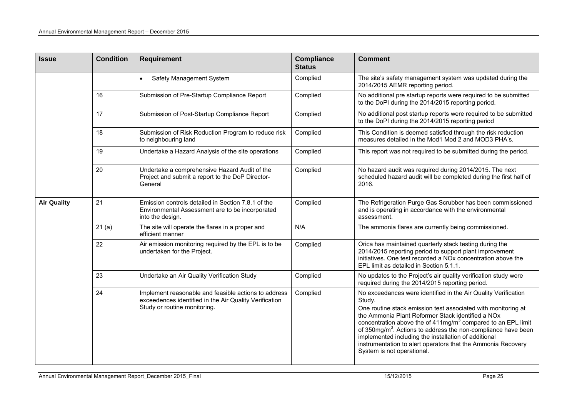| <b>Issue</b>       | <b>Condition</b> | <b>Requirement</b>                                                                                                                             | <b>Compliance</b><br><b>Status</b> | <b>Comment</b>                                                                                                                                                                                                                                                                                                                                                                                                                                                                                     |
|--------------------|------------------|------------------------------------------------------------------------------------------------------------------------------------------------|------------------------------------|----------------------------------------------------------------------------------------------------------------------------------------------------------------------------------------------------------------------------------------------------------------------------------------------------------------------------------------------------------------------------------------------------------------------------------------------------------------------------------------------------|
|                    |                  | Safety Management System<br>$\bullet$                                                                                                          | Complied                           | The site's safety management system was updated during the<br>2014/2015 AEMR reporting period.                                                                                                                                                                                                                                                                                                                                                                                                     |
|                    | 16               | Submission of Pre-Startup Compliance Report                                                                                                    | Complied                           | No additional pre startup reports were required to be submitted<br>to the DoPI during the 2014/2015 reporting period.                                                                                                                                                                                                                                                                                                                                                                              |
|                    | 17               | Submission of Post-Startup Compliance Report                                                                                                   | Complied                           | No additional post startup reports were required to be submitted<br>to the DoPI during the 2014/2015 reporting period                                                                                                                                                                                                                                                                                                                                                                              |
|                    | 18               | Submission of Risk Reduction Program to reduce risk<br>to neighbouring land                                                                    | Complied                           | This Condition is deemed satisfied through the risk reduction<br>measures detailed in the Mod1 Mod 2 and MOD3 PHA's.                                                                                                                                                                                                                                                                                                                                                                               |
|                    | 19               | Undertake a Hazard Analysis of the site operations                                                                                             | Complied                           | This report was not required to be submitted during the period.                                                                                                                                                                                                                                                                                                                                                                                                                                    |
|                    | 20               | Undertake a comprehensive Hazard Audit of the<br>Project and submit a report to the DoP Director-<br>General                                   | Complied                           | No hazard audit was required during 2014/2015. The next<br>scheduled hazard audit will be completed during the first half of<br>2016.                                                                                                                                                                                                                                                                                                                                                              |
| <b>Air Quality</b> | 21               | Emission controls detailed in Section 7.8.1 of the<br>Environmental Assessment are to be incorporated<br>into the design.                      | Complied                           | The Refrigeration Purge Gas Scrubber has been commissioned<br>and is operating in accordance with the environmental<br>assessment.                                                                                                                                                                                                                                                                                                                                                                 |
|                    | 21(a)            | The site will operate the flares in a proper and<br>efficient manner                                                                           | N/A                                | The ammonia flares are currently being commissioned.                                                                                                                                                                                                                                                                                                                                                                                                                                               |
|                    | 22               | Air emission monitoring required by the EPL is to be<br>undertaken for the Project.                                                            | Complied                           | Orica has maintained quarterly stack testing during the<br>2014/2015 reporting period to support plant improvement<br>initiatives. One test recorded a NO <sub>x</sub> concentration above the<br>EPL limit as detailed in Section 5.1.1.                                                                                                                                                                                                                                                          |
|                    | 23               | Undertake an Air Quality Verification Study                                                                                                    | Complied                           | No updates to the Project's air quality verification study were<br>required during the 2014/2015 reporting period.                                                                                                                                                                                                                                                                                                                                                                                 |
|                    | 24               | Implement reasonable and feasible actions to address<br>exceedences identified in the Air Quality Verification<br>Study or routine monitoring. | Complied                           | No exceedances were identified in the Air Quality Verification<br>Study.<br>One routine stack emission test associated with monitoring at<br>the Ammonia Plant Reformer Stack identified a NOx<br>concentration above the of $411mg/m3$ compared to an EPL limit<br>of $350 \text{mg/m}^3$ . Actions to address the non-compliance have been<br>implemented including the installation of additional<br>instrumentation to alert operators that the Ammonia Recovery<br>System is not operational. |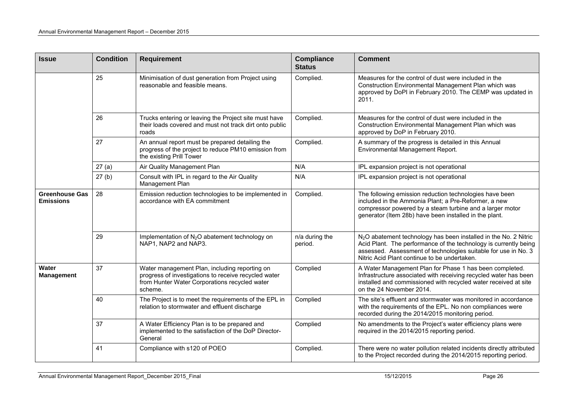| <b>Issue</b>                              | <b>Condition</b> | <b>Compliance</b><br><b>Requirement</b><br><b>Status</b>                                                                                                          |                           | <b>Comment</b>                                                                                                                                                                                                                                                     |
|-------------------------------------------|------------------|-------------------------------------------------------------------------------------------------------------------------------------------------------------------|---------------------------|--------------------------------------------------------------------------------------------------------------------------------------------------------------------------------------------------------------------------------------------------------------------|
|                                           | 25               | Minimisation of dust generation from Project using<br>reasonable and feasible means.                                                                              | Complied.                 | Measures for the control of dust were included in the<br>Construction Environmental Management Plan which was<br>approved by DoPI in February 2010. The CEMP was updated in<br>2011.                                                                               |
|                                           | 26               | Trucks entering or leaving the Project site must have<br>their loads covered and must not track dirt onto public<br>roads                                         | Complied.                 | Measures for the control of dust were included in the<br>Construction Environmental Management Plan which was<br>approved by DoP in February 2010.                                                                                                                 |
|                                           | 27               | An annual report must be prepared detailing the<br>progress of the project to reduce PM10 emission from<br>the existing Prill Tower                               | Complied.                 | A summary of the progress is detailed in this Annual<br>Environmental Management Report.                                                                                                                                                                           |
|                                           | 27(a)            | Air Quality Management Plan                                                                                                                                       | N/A                       | IPL expansion project is not operational                                                                                                                                                                                                                           |
|                                           | 27(b)            | Consult with IPL in regard to the Air Quality<br>Management Plan                                                                                                  | N/A                       | IPL expansion project is not operational                                                                                                                                                                                                                           |
| <b>Greenhouse Gas</b><br><b>Emissions</b> | 28               | Emission reduction technologies to be implemented in<br>accordance with EA commitment                                                                             | Complied.                 | The following emission reduction technologies have been<br>included in the Ammonia Plant; a Pre-Reformer, a new<br>compressor powered by a steam turbine and a larger motor<br>generator (Item 28b) have been installed in the plant.                              |
|                                           | 29               | Implementation of N <sub>2</sub> O abatement technology on<br>NAP1, NAP2 and NAP3.                                                                                | n/a during the<br>period. | N <sub>2</sub> O abatement technology has been installed in the No. 2 Nitric<br>Acid Plant. The performance of the technology is currently being<br>assessed. Assessment of technologies suitable for use in No. 3<br>Nitric Acid Plant continue to be undertaken. |
| Water<br><b>Management</b>                | 37               | Water management Plan, including reporting on<br>progress of investigations to receive recycled water<br>from Hunter Water Corporations recycled water<br>scheme. | Complied                  | A Water Management Plan for Phase 1 has been completed.<br>Infrastructure associated with receiving recycled water has been<br>installed and commissioned with recycled water received at site<br>on the 24 November 2014.                                         |
|                                           | 40               | The Project is to meet the requirements of the EPL in<br>relation to stormwater and effluent discharge                                                            | Complied                  | The site's effluent and stormwater was monitored in accordance<br>with the requirements of the EPL. No non compliances were<br>recorded during the 2014/2015 monitoring period.                                                                                    |
|                                           | 37               | A Water Efficiency Plan is to be prepared and<br>implemented to the satisfaction of the DoP Director-<br>General                                                  | Complied                  | No amendments to the Project's water efficiency plans were<br>required in the 2014/2015 reporting period.                                                                                                                                                          |
|                                           | 41               | Compliance with s120 of POEO                                                                                                                                      | Complied.                 | There were no water pollution related incidents directly attributed<br>to the Project recorded during the 2014/2015 reporting period.                                                                                                                              |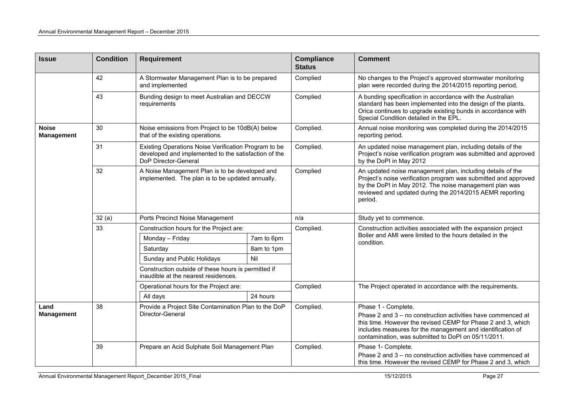| <b>Issue</b>                      | <b>Condition</b>                                                                                         | <b>Requirement</b>                                                                                                                   |            | <b>Compliance</b><br><b>Status</b> | <b>Comment</b>                                                                                                                                                                                                                                                 |
|-----------------------------------|----------------------------------------------------------------------------------------------------------|--------------------------------------------------------------------------------------------------------------------------------------|------------|------------------------------------|----------------------------------------------------------------------------------------------------------------------------------------------------------------------------------------------------------------------------------------------------------------|
|                                   | 42                                                                                                       | A Stormwater Management Plan is to be prepared<br>and implemented                                                                    |            | Complied                           | No changes to the Project's approved stormwater monitoring<br>plan were recorded during the 2014/2015 reporting period,                                                                                                                                        |
|                                   | 43                                                                                                       | Bunding design to meet Australian and DECCW<br>requirements                                                                          |            | Complied                           | A bunding specification in accordance with the Australian<br>standard has been implemented into the design of the plants.<br>Orica continues to upgrade existing bunds in accordance with<br>Special Condition detailed in the EPL.                            |
| <b>Noise</b><br><b>Management</b> | 30                                                                                                       | Noise emissions from Project to be 10dB(A) below<br>that of the existing operations.                                                 |            | Complied.                          | Annual noise monitoring was completed during the 2014/2015<br>reporting period.                                                                                                                                                                                |
|                                   | 31                                                                                                       | Existing Operations Noise Verification Program to be<br>developed and implemented to the satisfaction of the<br>DoP Director-General |            | Complied.                          | An updated noise management plan, including details of the<br>Project's noise verification program was submitted and approved<br>by the DoPI in May 2012                                                                                                       |
|                                   | 32<br>A Noise Management Plan is to be developed and<br>implemented. The plan is to be updated annually. |                                                                                                                                      |            | Complied                           | An updated noise management plan, including details of the<br>Project's noise verification program was submitted and approved<br>by the DoPI in May 2012. The noise management plan was<br>reviewed and updated during the 2014/2015 AEMR reporting<br>period. |
|                                   | 32(a)                                                                                                    | Ports Precinct Noise Management                                                                                                      |            | n/a                                | Study yet to commence.                                                                                                                                                                                                                                         |
|                                   | 33                                                                                                       | Construction hours for the Project are:                                                                                              |            | Complied.                          | Construction activities associated with the expansion project                                                                                                                                                                                                  |
|                                   |                                                                                                          | Monday - Friday                                                                                                                      | 7am to 6pm |                                    | Boiler and AMI were limited to the hours detailed in the<br>condition.                                                                                                                                                                                         |
|                                   |                                                                                                          | Saturday                                                                                                                             | 8am to 1pm |                                    |                                                                                                                                                                                                                                                                |
|                                   |                                                                                                          | Sunday and Public Holidays                                                                                                           | Nil        |                                    |                                                                                                                                                                                                                                                                |
|                                   |                                                                                                          | Construction outside of these hours is permitted if<br>inaudible at the nearest residences.                                          |            |                                    |                                                                                                                                                                                                                                                                |
|                                   |                                                                                                          | Operational hours for the Project are:                                                                                               |            | Complied                           | The Project operated in accordance with the requirements.                                                                                                                                                                                                      |
|                                   |                                                                                                          | All days                                                                                                                             | 24 hours   |                                    |                                                                                                                                                                                                                                                                |
| Land                              | 38                                                                                                       | Provide a Project Site Contamination Plan to the DoP                                                                                 |            | Complied.                          | Phase 1 - Complete.                                                                                                                                                                                                                                            |
| <b>Management</b>                 |                                                                                                          | Director-General                                                                                                                     |            |                                    | Phase 2 and 3 - no construction activities have commenced at<br>this time. However the revised CEMP for Phase 2 and 3, which<br>includes measures for the management and identification of<br>contamination, was submitted to DoPI on 05/11/2011.              |
|                                   | 39                                                                                                       | Prepare an Acid Sulphate Soil Management Plan                                                                                        |            | Complied.                          | Phase 1- Complete.                                                                                                                                                                                                                                             |
|                                   |                                                                                                          |                                                                                                                                      |            |                                    | Phase 2 and 3 - no construction activities have commenced at<br>this time. However the revised CEMP for Phase 2 and 3, which                                                                                                                                   |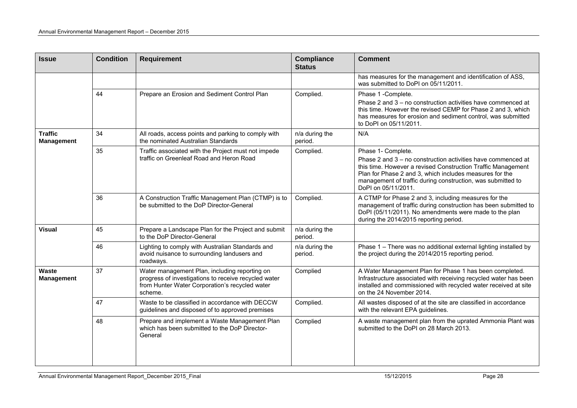| <b>Issue</b>                        | <b>Condition</b> | <b>Requirement</b>                                                                                                                                                 | <b>Compliance</b><br><b>Status</b> | <b>Comment</b>                                                                                                                                                                                                                                                                                      |
|-------------------------------------|------------------|--------------------------------------------------------------------------------------------------------------------------------------------------------------------|------------------------------------|-----------------------------------------------------------------------------------------------------------------------------------------------------------------------------------------------------------------------------------------------------------------------------------------------------|
|                                     |                  |                                                                                                                                                                    |                                    | has measures for the management and identification of ASS,<br>was submitted to DoPI on 05/11/2011.                                                                                                                                                                                                  |
|                                     | 44               | Prepare an Erosion and Sediment Control Plan                                                                                                                       | Complied.                          | Phase 1 -Complete.<br>Phase 2 and 3 – no construction activities have commenced at<br>this time. However the revised CEMP for Phase 2 and 3, which<br>has measures for erosion and sediment control, was submitted<br>to DoPI on 05/11/2011.                                                        |
| <b>Traffic</b><br><b>Management</b> | 34               | All roads, access points and parking to comply with<br>the nominated Australian Standards                                                                          | n/a during the<br>period.          | N/A                                                                                                                                                                                                                                                                                                 |
|                                     | 35               | Traffic associated with the Project must not impede<br>traffic on Greenleaf Road and Heron Road                                                                    | Complied.                          | Phase 1- Complete.<br>Phase 2 and 3 - no construction activities have commenced at<br>this time. However a revised Construction Traffic Management<br>Plan for Phase 2 and 3, which includes measures for the<br>management of traffic during construction, was submitted to<br>DoPI on 05/11/2011. |
|                                     | 36               | A Construction Traffic Management Plan (CTMP) is to<br>be submitted to the DoP Director-General                                                                    | Complied.                          | A CTMP for Phase 2 and 3, including measures for the<br>management of traffic during construction has been submitted to<br>DoPI (05/11/2011). No amendments were made to the plan<br>during the 2014/2015 reporting period.                                                                         |
| <b>Visual</b>                       | 45               | Prepare a Landscape Plan for the Project and submit<br>to the DoP Director-General                                                                                 | n/a during the<br>period.          |                                                                                                                                                                                                                                                                                                     |
|                                     | 46               | Lighting to comply with Australian Standards and<br>avoid nuisance to surrounding landusers and<br>roadways.                                                       | n/a during the<br>period.          | Phase 1 - There was no additional external lighting installed by<br>the project during the 2014/2015 reporting period.                                                                                                                                                                              |
| Waste<br><b>Management</b>          | 37               | Water management Plan, including reporting on<br>progress of investigations to receive recycled water<br>from Hunter Water Corporation's recycled water<br>scheme. | Complied                           | A Water Management Plan for Phase 1 has been completed.<br>Infrastructure associated with receiving recycled water has been<br>installed and commissioned with recycled water received at site<br>on the 24 November 2014.                                                                          |
|                                     | 47               | Waste to be classified in accordance with DECCW<br>guidelines and disposed of to approved premises                                                                 | Complied.                          | All wastes disposed of at the site are classified in accordance<br>with the relevant EPA guidelines.                                                                                                                                                                                                |
|                                     | 48               | Prepare and implement a Waste Management Plan<br>which has been submitted to the DoP Director-<br>General                                                          | Complied                           | A waste management plan from the uprated Ammonia Plant was<br>submitted to the DoPI on 28 March 2013.                                                                                                                                                                                               |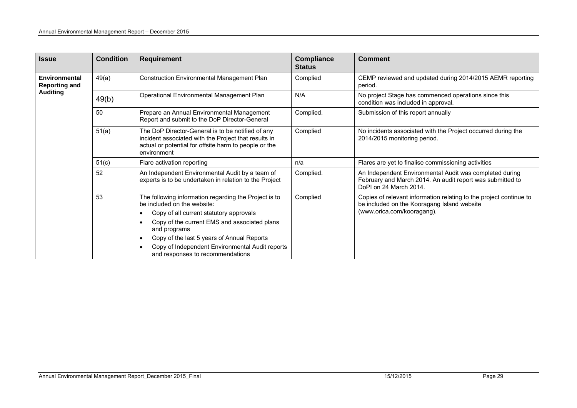| <b>Issue</b>                                 | <b>Condition</b> | <b>Requirement</b>                                                                                                                                                                                                                                                                                                                   | <b>Compliance</b><br><b>Status</b>              | <b>Comment</b>                                                                                                                                  |  |  |  |
|----------------------------------------------|------------------|--------------------------------------------------------------------------------------------------------------------------------------------------------------------------------------------------------------------------------------------------------------------------------------------------------------------------------------|-------------------------------------------------|-------------------------------------------------------------------------------------------------------------------------------------------------|--|--|--|
| <b>Environmental</b><br><b>Reporting and</b> | 49(a)            | <b>Construction Environmental Management Plan</b>                                                                                                                                                                                                                                                                                    | Complied                                        | CEMP reviewed and updated during 2014/2015 AEMR reporting<br>period.                                                                            |  |  |  |
| <b>Auditing</b>                              | 49(b)            | Operational Environmental Management Plan                                                                                                                                                                                                                                                                                            | N/A                                             | No project Stage has commenced operations since this<br>condition was included in approval.                                                     |  |  |  |
|                                              | 50               | Prepare an Annual Environmental Management<br>Report and submit to the DoP Director-General                                                                                                                                                                                                                                          | Complied.<br>Submission of this report annually |                                                                                                                                                 |  |  |  |
|                                              | 51(a)            | The DoP Director-General is to be notified of any<br>incident associated with the Project that results in<br>actual or potential for offsite harm to people or the<br>environment                                                                                                                                                    | Complied                                        | No incidents associated with the Project occurred during the<br>2014/2015 monitoring period.                                                    |  |  |  |
|                                              | 51(c)            | Flare activation reporting                                                                                                                                                                                                                                                                                                           | n/a                                             | Flares are yet to finalise commissioning activities                                                                                             |  |  |  |
|                                              | 52               | An Independent Environmental Audit by a team of<br>experts is to be undertaken in relation to the Project                                                                                                                                                                                                                            | Complied.                                       | An Independent Environmental Audit was completed during<br>February and March 2014. An audit report was submitted to<br>DoPI on 24 March 2014.  |  |  |  |
|                                              | 53               | The following information regarding the Project is to<br>be included on the website:<br>Copy of all current statutory approvals<br>Copy of the current EMS and associated plans<br>and programs<br>Copy of the last 5 years of Annual Reports<br>Copy of Independent Environmental Audit reports<br>and responses to recommendations | Complied                                        | Copies of relevant information relating to the project continue to<br>be included on the Kooragang Island website<br>(www.orica.com/kooragang). |  |  |  |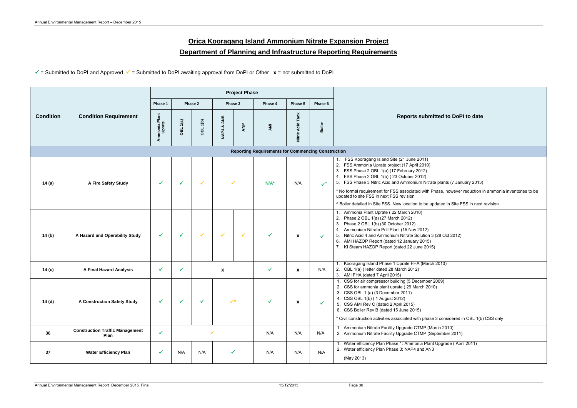## **Orica Kooragang Island Ammonium Nitrate Expansion Project Department of Planning and Infrastructure Reporting Requirements**

= Submitted to DoPI and Approved = Submitted to DoPI awaiting approval from DoPI or Other **x** = not submitted to DoPI

|                  |                                                |                                                           |          |                 |                  | <b>Project Phase</b> |         |                  |               |                                                                                                                                                                                                                                                                                                                                                                                                                                              |     |                                                                                                                                                                                                                                                                                                                                                |     |     |     |                                                                                                                               |
|------------------|------------------------------------------------|-----------------------------------------------------------|----------|-----------------|------------------|----------------------|---------|------------------|---------------|----------------------------------------------------------------------------------------------------------------------------------------------------------------------------------------------------------------------------------------------------------------------------------------------------------------------------------------------------------------------------------------------------------------------------------------------|-----|------------------------------------------------------------------------------------------------------------------------------------------------------------------------------------------------------------------------------------------------------------------------------------------------------------------------------------------------|-----|-----|-----|-------------------------------------------------------------------------------------------------------------------------------|
|                  | <b>Condition Requirement</b>                   | Phase 2<br>Phase 1                                        |          | Phase 3         |                  | Phase 4              |         | Phase 5          | Phase 6       |                                                                                                                                                                                                                                                                                                                                                                                                                                              |     |                                                                                                                                                                                                                                                                                                                                                |     |     |     |                                                                                                                               |
| <b>Condition</b> |                                                | Ammonia Plant<br>Uprate                                   | OBL 1(a) | <b>OBL 1(b)</b> | ANS<br>ಹ<br>NAP4 | ANP                  | AMI     | Nitric Acid Tank | <b>Boiler</b> | <b>Reports submitted to DoPI</b>                                                                                                                                                                                                                                                                                                                                                                                                             |     |                                                                                                                                                                                                                                                                                                                                                |     |     |     |                                                                                                                               |
|                  |                                                | <b>Reporting Requirements for Commencing Construction</b> |          |                 |                  |                      |         |                  |               |                                                                                                                                                                                                                                                                                                                                                                                                                                              |     |                                                                                                                                                                                                                                                                                                                                                |     |     |     |                                                                                                                               |
| 14(a)            | A Fire Safety Study                            | ✔                                                         | ✓        | ✓               |                  |                      | $N/A^*$ | N/A              | $\checkmark$  | FSS Kooragang Island Site (21 June 2011)<br>2. FSS Ammonia Uprate project (17 April 2010)<br>3. FSS Phase 2 OBL 1(a) (17 February 2012)<br>4. FSS Phase 2 OBL 1(b) (23 October 2012)<br>5. FSS Phase 3 Nitric Acid and Ammonium Nitrate plants (7 Janu<br>* No formal requirement for FSS associated with Phase, however<br>updated to site FSS in next FSS revision<br>^ Boiler detailed in Site FSS. New location to be updated in Site F9 |     |                                                                                                                                                                                                                                                                                                                                                |     |     |     |                                                                                                                               |
| 14 (b)           | A Hazard and Operability Study                 | $\checkmark$                                              | ✓        | $\checkmark$    | $\checkmark$     | $\checkmark$         | ✓       | X                | $\checkmark$  | Ammonia Plant Uprate (22 March 2010)<br>2. Phase 2 OBL 1(a) (27 March 2012)<br>Phase 2 OBL 1(b) (30 October 2012)<br>3.<br>4. Ammonium Nitrate Prill Plant (15 Nov 2012)<br>5. Nitric Acid 4 and Ammonium Nitrate Solution 3 (28 Oct 2012)<br>6. AMI HAZOP Report (dated 12 January 2015)<br>7. KI Steam HAZOP Report (dated 22 June 2015)                                                                                                   |     |                                                                                                                                                                                                                                                                                                                                                |     |     |     |                                                                                                                               |
| 14 (c)           | <b>A Final Hazard Analysis</b>                 | $\checkmark$                                              | ✓        |                 | X                |                      |         |                  | ✓             | X                                                                                                                                                                                                                                                                                                                                                                                                                                            | N/A | Kooragang Island Phase 1 Uprate FHA (March 2010)<br>2. OBL 1(a) (letter dated 28 March 2012)<br>3. AMI FHA (dated 7 April 2015)                                                                                                                                                                                                                |     |     |     |                                                                                                                               |
| 14 (d)           | <b>A Construction Safety Study</b>             |                                                           |          |                 |                  |                      |         |                  |               | $\boldsymbol{\lambda}$                                                                                                                                                                                                                                                                                                                                                                                                                       |     | 1. CSS for air compressor building (5 December 2009)<br>2. CSS for ammonia plant uprate (29 March 2010)<br>3. CSS OBL 1 (a) (3 December 2011)<br>4. CSS OBL 1(b) (1 August 2012)<br>5. CSS AMI Rev C (dated 2 April 2015)<br>6. CSS Boiler Rev B (dated 15 June 2015)<br>* Civil construction activities associated with phase 3 considered ir |     |     |     |                                                                                                                               |
| 36               | <b>Construction Traffic Management</b><br>Plan | $\checkmark$                                              |          | ✓               |                  |                      | N/A     | N/A              | N/A           | Ammonium Nitrate Facility Upgrade CTMP (March 2010)<br>2. Ammonium Nitrate Facility Upgrade CTMP (September 2011)                                                                                                                                                                                                                                                                                                                            |     |                                                                                                                                                                                                                                                                                                                                                |     |     |     |                                                                                                                               |
| 37               | <b>Water Efficiency Plan</b>                   | $\checkmark$                                              | N/A      | N/A             | ✓                |                      |         |                  |               |                                                                                                                                                                                                                                                                                                                                                                                                                                              |     |                                                                                                                                                                                                                                                                                                                                                | N/A | N/A | N/A | 1. Water efficiency Plan Phase 1: Ammonia Plant Upgrade (Apri<br>2. Water efficiency Plan Phase 3: NAP4 and AN3<br>(May 2013) |

**Reports itted to DoPI to date** e plants (7 January 2013) hase, however reduction in ammonia inventories to be dated in Site FSS in next revision (28 Oct 2012)  $12010$  $\overline{2009}$ : 3 considered in OBL 1(b) CSS only 1. Upgrade ( April 2011)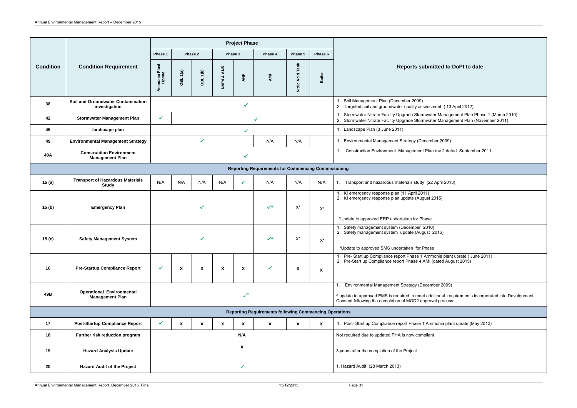| Phase 1<br>Phase 5<br>Phase 2<br>Phase 3<br>Phase 4<br>Phase 6<br>Acid Tank<br>Ammonia Plant<br>Uprate<br><b>Condition</b><br><b>Condition Requirement</b><br><b>Reports submitted to DoPI to date</b><br>ANS<br>1(a)<br>1(b)<br>Boiler<br><b>ANP</b><br>AMI<br>ಯ<br>OBL<br>OBL<br>NAP4<br>Nitric<br>Soil Management Plan (December 2009)<br>Soil and Groundwater Contamination<br>38<br>2. Targeted soil and groundwater quality assessment (13 April 2012)<br>investigation<br>Stormwater Nitrate Facility Upgrade Stormwater Management Plan Phase 1 (March 2010)<br>$\checkmark$<br><b>Stormwater Management Plan</b><br>42<br>$\checkmark$<br>2. Stormwater Nitrate Facility Upgrade Stormwater Management Plan (November 2011)<br>1. Landscape Plan (3 June 2011)<br>45<br>landscape plan<br>✓<br>$\checkmark$<br>1. Environmental Management Strategy (December 2009)<br><b>Environmental Management Strategy</b><br>N/A<br>N/A<br>49<br>Construction Environment Management Plan rev 2 dated September 2011<br><b>Construction Environment</b><br>49A<br><b>Management Plan</b><br><b>Reporting Requirements for Commencing Commissioning</b><br><b>Transport of Hazardous Materials</b><br>N/A<br>N/A<br>15(a)<br>N/A<br>N/A<br>N/A<br>N/A<br>N/A<br>Transport and hazardous materials study (22 April 2013)<br>1.<br><b>Study</b><br>1. KI emergency response plan (11 April 2011)<br>2. KI emergency response plan update (August 2015)<br>$\checkmark$<br>$X^*$<br>15(b)<br><b>Emergency Plan</b><br>$X^*$<br>*Update to approved ERP undertaken for Phase<br>Safety management system (December 2010)<br>2. Safety management system update (August 2015)<br>$\checkmark$<br>$X^*$<br><b>Safety Management System</b><br>15 <sub>(c)</sub><br>$X^*$<br>*Update to approved SMS undertaken for Phase<br>1. Pre- Start up Compliance report Phase 1 Ammonia plant uprate (June 2011)<br>2. Pre-Start up Compliance report Phase 4 AMI (dated August 2015)<br>16<br><b>Pre-Startup Compliance Report</b><br>$\checkmark$<br>$\checkmark$<br>X<br>X<br>X<br>X<br>$\boldsymbol{\mathsf{x}}$<br>$\mathbf{x}$<br>Environmental Management Strategy (December 2009)<br><b>Operational Environmental</b><br>49B<br>^ update to approved EMS is required to meet additional requirements incorporated into Development<br><b>Management Plan</b><br>Consent following the completion of MOD2 approval process.<br><b>Reporting Requirements following Commencing Operations</b><br>17<br>1. Post-Start up Compliance report Phase 1 Ammonia plant uprate (May 2012)<br><b>Post-Startup Compliance Report</b><br>$\checkmark$<br>$\boldsymbol{\mathsf{x}}$<br>$\mathbf{x}$<br>X<br>X<br>$\mathbf{x}$<br>$\mathbf{x}$<br>X<br>18<br>N/A<br>Further risk reduction program<br>Not required due to updated PHA is now compliant<br>$\boldsymbol{\mathsf{x}}$<br>19<br><b>Hazard Analysis Update</b><br>3 years after the completion of the Project<br>1. Hazard Audit (28 March 2013)<br>20<br><b>Hazard Audit of the Project</b><br>$\checkmark$ |  |  |  |  |  |  | <b>Project Phase</b> |  |  |  |  |  |
|--------------------------------------------------------------------------------------------------------------------------------------------------------------------------------------------------------------------------------------------------------------------------------------------------------------------------------------------------------------------------------------------------------------------------------------------------------------------------------------------------------------------------------------------------------------------------------------------------------------------------------------------------------------------------------------------------------------------------------------------------------------------------------------------------------------------------------------------------------------------------------------------------------------------------------------------------------------------------------------------------------------------------------------------------------------------------------------------------------------------------------------------------------------------------------------------------------------------------------------------------------------------------------------------------------------------------------------------------------------------------------------------------------------------------------------------------------------------------------------------------------------------------------------------------------------------------------------------------------------------------------------------------------------------------------------------------------------------------------------------------------------------------------------------------------------------------------------------------------------------------------------------------------------------------------------------------------------------------------------------------------------------------------------------------------------------------------------------------------------------------------------------------------------------------------------------------------------------------------------------------------------------------------------------------------------------------------------------------------------------------------------------------------------------------------------------------------------------------------------------------------------------------------------------------------------------------------------------------------------------------------------------------------------------------------------------------------------------------------------------------------------------------------------------------------------------------------------------------------------------------------------------------------------------------------------------------------------------------------------------------------------------------------------------------|--|--|--|--|--|--|----------------------|--|--|--|--|--|
|                                                                                                                                                                                                                                                                                                                                                                                                                                                                                                                                                                                                                                                                                                                                                                                                                                                                                                                                                                                                                                                                                                                                                                                                                                                                                                                                                                                                                                                                                                                                                                                                                                                                                                                                                                                                                                                                                                                                                                                                                                                                                                                                                                                                                                                                                                                                                                                                                                                                                                                                                                                                                                                                                                                                                                                                                                                                                                                                                                                                                                                  |  |  |  |  |  |  |                      |  |  |  |  |  |
|                                                                                                                                                                                                                                                                                                                                                                                                                                                                                                                                                                                                                                                                                                                                                                                                                                                                                                                                                                                                                                                                                                                                                                                                                                                                                                                                                                                                                                                                                                                                                                                                                                                                                                                                                                                                                                                                                                                                                                                                                                                                                                                                                                                                                                                                                                                                                                                                                                                                                                                                                                                                                                                                                                                                                                                                                                                                                                                                                                                                                                                  |  |  |  |  |  |  |                      |  |  |  |  |  |
|                                                                                                                                                                                                                                                                                                                                                                                                                                                                                                                                                                                                                                                                                                                                                                                                                                                                                                                                                                                                                                                                                                                                                                                                                                                                                                                                                                                                                                                                                                                                                                                                                                                                                                                                                                                                                                                                                                                                                                                                                                                                                                                                                                                                                                                                                                                                                                                                                                                                                                                                                                                                                                                                                                                                                                                                                                                                                                                                                                                                                                                  |  |  |  |  |  |  |                      |  |  |  |  |  |
|                                                                                                                                                                                                                                                                                                                                                                                                                                                                                                                                                                                                                                                                                                                                                                                                                                                                                                                                                                                                                                                                                                                                                                                                                                                                                                                                                                                                                                                                                                                                                                                                                                                                                                                                                                                                                                                                                                                                                                                                                                                                                                                                                                                                                                                                                                                                                                                                                                                                                                                                                                                                                                                                                                                                                                                                                                                                                                                                                                                                                                                  |  |  |  |  |  |  |                      |  |  |  |  |  |
|                                                                                                                                                                                                                                                                                                                                                                                                                                                                                                                                                                                                                                                                                                                                                                                                                                                                                                                                                                                                                                                                                                                                                                                                                                                                                                                                                                                                                                                                                                                                                                                                                                                                                                                                                                                                                                                                                                                                                                                                                                                                                                                                                                                                                                                                                                                                                                                                                                                                                                                                                                                                                                                                                                                                                                                                                                                                                                                                                                                                                                                  |  |  |  |  |  |  |                      |  |  |  |  |  |
|                                                                                                                                                                                                                                                                                                                                                                                                                                                                                                                                                                                                                                                                                                                                                                                                                                                                                                                                                                                                                                                                                                                                                                                                                                                                                                                                                                                                                                                                                                                                                                                                                                                                                                                                                                                                                                                                                                                                                                                                                                                                                                                                                                                                                                                                                                                                                                                                                                                                                                                                                                                                                                                                                                                                                                                                                                                                                                                                                                                                                                                  |  |  |  |  |  |  |                      |  |  |  |  |  |
|                                                                                                                                                                                                                                                                                                                                                                                                                                                                                                                                                                                                                                                                                                                                                                                                                                                                                                                                                                                                                                                                                                                                                                                                                                                                                                                                                                                                                                                                                                                                                                                                                                                                                                                                                                                                                                                                                                                                                                                                                                                                                                                                                                                                                                                                                                                                                                                                                                                                                                                                                                                                                                                                                                                                                                                                                                                                                                                                                                                                                                                  |  |  |  |  |  |  |                      |  |  |  |  |  |
|                                                                                                                                                                                                                                                                                                                                                                                                                                                                                                                                                                                                                                                                                                                                                                                                                                                                                                                                                                                                                                                                                                                                                                                                                                                                                                                                                                                                                                                                                                                                                                                                                                                                                                                                                                                                                                                                                                                                                                                                                                                                                                                                                                                                                                                                                                                                                                                                                                                                                                                                                                                                                                                                                                                                                                                                                                                                                                                                                                                                                                                  |  |  |  |  |  |  |                      |  |  |  |  |  |
|                                                                                                                                                                                                                                                                                                                                                                                                                                                                                                                                                                                                                                                                                                                                                                                                                                                                                                                                                                                                                                                                                                                                                                                                                                                                                                                                                                                                                                                                                                                                                                                                                                                                                                                                                                                                                                                                                                                                                                                                                                                                                                                                                                                                                                                                                                                                                                                                                                                                                                                                                                                                                                                                                                                                                                                                                                                                                                                                                                                                                                                  |  |  |  |  |  |  |                      |  |  |  |  |  |
|                                                                                                                                                                                                                                                                                                                                                                                                                                                                                                                                                                                                                                                                                                                                                                                                                                                                                                                                                                                                                                                                                                                                                                                                                                                                                                                                                                                                                                                                                                                                                                                                                                                                                                                                                                                                                                                                                                                                                                                                                                                                                                                                                                                                                                                                                                                                                                                                                                                                                                                                                                                                                                                                                                                                                                                                                                                                                                                                                                                                                                                  |  |  |  |  |  |  |                      |  |  |  |  |  |
|                                                                                                                                                                                                                                                                                                                                                                                                                                                                                                                                                                                                                                                                                                                                                                                                                                                                                                                                                                                                                                                                                                                                                                                                                                                                                                                                                                                                                                                                                                                                                                                                                                                                                                                                                                                                                                                                                                                                                                                                                                                                                                                                                                                                                                                                                                                                                                                                                                                                                                                                                                                                                                                                                                                                                                                                                                                                                                                                                                                                                                                  |  |  |  |  |  |  |                      |  |  |  |  |  |
|                                                                                                                                                                                                                                                                                                                                                                                                                                                                                                                                                                                                                                                                                                                                                                                                                                                                                                                                                                                                                                                                                                                                                                                                                                                                                                                                                                                                                                                                                                                                                                                                                                                                                                                                                                                                                                                                                                                                                                                                                                                                                                                                                                                                                                                                                                                                                                                                                                                                                                                                                                                                                                                                                                                                                                                                                                                                                                                                                                                                                                                  |  |  |  |  |  |  |                      |  |  |  |  |  |
|                                                                                                                                                                                                                                                                                                                                                                                                                                                                                                                                                                                                                                                                                                                                                                                                                                                                                                                                                                                                                                                                                                                                                                                                                                                                                                                                                                                                                                                                                                                                                                                                                                                                                                                                                                                                                                                                                                                                                                                                                                                                                                                                                                                                                                                                                                                                                                                                                                                                                                                                                                                                                                                                                                                                                                                                                                                                                                                                                                                                                                                  |  |  |  |  |  |  |                      |  |  |  |  |  |
|                                                                                                                                                                                                                                                                                                                                                                                                                                                                                                                                                                                                                                                                                                                                                                                                                                                                                                                                                                                                                                                                                                                                                                                                                                                                                                                                                                                                                                                                                                                                                                                                                                                                                                                                                                                                                                                                                                                                                                                                                                                                                                                                                                                                                                                                                                                                                                                                                                                                                                                                                                                                                                                                                                                                                                                                                                                                                                                                                                                                                                                  |  |  |  |  |  |  |                      |  |  |  |  |  |
|                                                                                                                                                                                                                                                                                                                                                                                                                                                                                                                                                                                                                                                                                                                                                                                                                                                                                                                                                                                                                                                                                                                                                                                                                                                                                                                                                                                                                                                                                                                                                                                                                                                                                                                                                                                                                                                                                                                                                                                                                                                                                                                                                                                                                                                                                                                                                                                                                                                                                                                                                                                                                                                                                                                                                                                                                                                                                                                                                                                                                                                  |  |  |  |  |  |  |                      |  |  |  |  |  |
|                                                                                                                                                                                                                                                                                                                                                                                                                                                                                                                                                                                                                                                                                                                                                                                                                                                                                                                                                                                                                                                                                                                                                                                                                                                                                                                                                                                                                                                                                                                                                                                                                                                                                                                                                                                                                                                                                                                                                                                                                                                                                                                                                                                                                                                                                                                                                                                                                                                                                                                                                                                                                                                                                                                                                                                                                                                                                                                                                                                                                                                  |  |  |  |  |  |  |                      |  |  |  |  |  |
|                                                                                                                                                                                                                                                                                                                                                                                                                                                                                                                                                                                                                                                                                                                                                                                                                                                                                                                                                                                                                                                                                                                                                                                                                                                                                                                                                                                                                                                                                                                                                                                                                                                                                                                                                                                                                                                                                                                                                                                                                                                                                                                                                                                                                                                                                                                                                                                                                                                                                                                                                                                                                                                                                                                                                                                                                                                                                                                                                                                                                                                  |  |  |  |  |  |  |                      |  |  |  |  |  |
|                                                                                                                                                                                                                                                                                                                                                                                                                                                                                                                                                                                                                                                                                                                                                                                                                                                                                                                                                                                                                                                                                                                                                                                                                                                                                                                                                                                                                                                                                                                                                                                                                                                                                                                                                                                                                                                                                                                                                                                                                                                                                                                                                                                                                                                                                                                                                                                                                                                                                                                                                                                                                                                                                                                                                                                                                                                                                                                                                                                                                                                  |  |  |  |  |  |  |                      |  |  |  |  |  |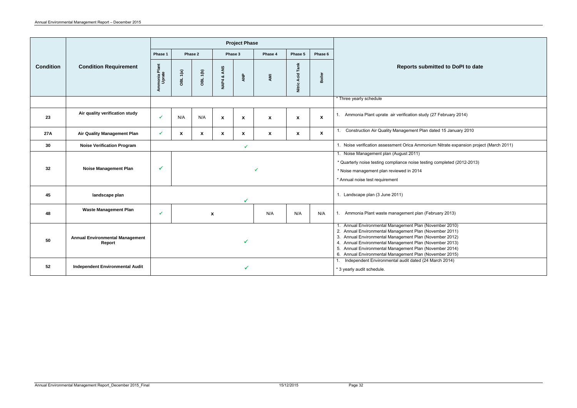| <b>Reports submitted to DoPI to date</b>                      |
|---------------------------------------------------------------|
|                                                               |
| verification study (27 February 2014)                         |
| anagement Plan dated 15 January 2010                          |
| nt Orica Ammonium Nitrate expansion project (March 2011)      |
| $\overline{ugust}$ 2011)                                      |
| ance noise testing completed (2012-2013)                      |
| wed in 2014                                                   |
|                                                               |
|                                                               |
| 11)                                                           |
| agement plan (February 2013)                                  |
| agement Plan (November 2010)                                  |
| agement Plan (November 2011)                                  |
| agement Plan (November 2012)                                  |
| agement Plan (November 2013)                                  |
| agement Plan (November 2014)                                  |
| agement Plan (November 2015)<br>l audit dated (24 March 2014) |
|                                                               |

|                  |                                                  |                         |                                           |                 |                           | <b>Project Phase</b> |                           |                        |                                                                                                                                                                                                                                                                                                                                                                |                                                                                                                                                                                                   |
|------------------|--------------------------------------------------|-------------------------|-------------------------------------------|-----------------|---------------------------|----------------------|---------------------------|------------------------|----------------------------------------------------------------------------------------------------------------------------------------------------------------------------------------------------------------------------------------------------------------------------------------------------------------------------------------------------------------|---------------------------------------------------------------------------------------------------------------------------------------------------------------------------------------------------|
|                  |                                                  | Phase 1<br>Phase 2      |                                           |                 | Phase 3                   |                      | Phase 4                   | Phase 5                | Phase 6                                                                                                                                                                                                                                                                                                                                                        |                                                                                                                                                                                                   |
| <b>Condition</b> | <b>Condition Requirement</b>                     | Ammonia Plant<br>Uprate | OBL 1(a)                                  | <b>OBL 1(b)</b> | NAP4 & ANS                | ANP                  | <b>AMI</b>                | Tank<br>Acid<br>Nitric | Boiler                                                                                                                                                                                                                                                                                                                                                         | <b>Reports submitted to DoPI to date</b>                                                                                                                                                          |
|                  |                                                  |                         |                                           |                 |                           |                      |                           |                        | * Three yearly schedule                                                                                                                                                                                                                                                                                                                                        |                                                                                                                                                                                                   |
| 23               | Air quality verification study                   | ✓                       | N/A                                       | N/A             | $\boldsymbol{\mathsf{x}}$ | $\boldsymbol{x}$     | $\boldsymbol{\mathsf{X}}$ | $\pmb{\mathsf{x}}$     | $\pmb{\mathsf{x}}$                                                                                                                                                                                                                                                                                                                                             | 1. Ammonia Plant uprate air verification study (27 February 2014)                                                                                                                                 |
| 27 A             | <b>Air Quality Management Plan</b>               | ✔                       | $\mathbf{x}$<br>$\boldsymbol{\mathsf{x}}$ |                 | $\boldsymbol{\mathsf{x}}$ | $\mathbf{x}$         | $\mathbf{x}$              | $\pmb{\mathsf{x}}$     | $\mathbf{x}$                                                                                                                                                                                                                                                                                                                                                   | Construction Air Quality Management Plan dated 15 January 2010<br>1.                                                                                                                              |
| 30               | <b>Noise Verification Program</b>                |                         |                                           |                 |                           | $\checkmark$         |                           |                        | 1. Noise verification assessment Orica Ammonium Nitrate expansion project (March 2011)                                                                                                                                                                                                                                                                         |                                                                                                                                                                                                   |
| 32 <sub>2</sub>  | <b>Noise Management Plan</b>                     | ✔                       |                                           |                 |                           |                      |                           |                        |                                                                                                                                                                                                                                                                                                                                                                | 1. Noise Management plan (August 2011)<br>* Quarterly noise testing compliance noise testing completed (2012-2013)<br>* Noise management plan reviewed in 2014<br>* Annual noise test requirement |
| 45               | landscape plan                                   | ✔                       |                                           |                 |                           |                      |                           |                        |                                                                                                                                                                                                                                                                                                                                                                | 1. Landscape plan (3 June 2011)                                                                                                                                                                   |
| 48               | <b>Waste Management Plan</b>                     | ✔                       | $\pmb{\mathsf{x}}$                        |                 |                           |                      | N/A                       | N/A                    | N/A                                                                                                                                                                                                                                                                                                                                                            | 1. Ammonia Plant waste management plan (February 2013)                                                                                                                                            |
| 50               | <b>Annual Environmental Management</b><br>Report |                         | ✔                                         |                 |                           |                      |                           |                        | 1. Annual Environmental Management Plan (November 2010)<br>2. Annual Environmental Management Plan (November 2011)<br>3. Annual Environmental Management Plan (November 2012)<br>4. Annual Environmental Management Plan (November 2013)<br>5. Annual Environmental Management Plan (November 2014)<br>6. Annual Environmental Management Plan (November 2015) |                                                                                                                                                                                                   |
| 52               | <b>Independent Environmental Audit</b>           |                         |                                           |                 |                           |                      |                           |                        | 1. Independent Environmental audit dated (24 March 2014)<br>* 3 yearly audit schedule.                                                                                                                                                                                                                                                                         |                                                                                                                                                                                                   |